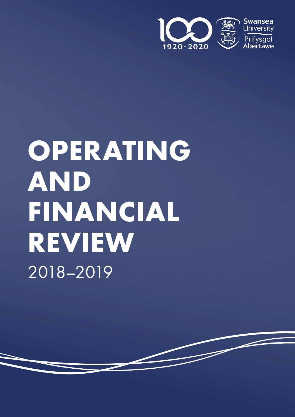

# **OPERATING AND FINANCIAL REVIEW** 2018–2019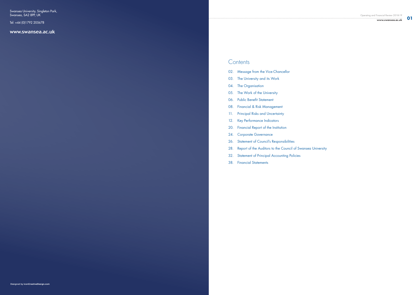Swansea University, Singleton Park, Swansea, SA2 8PP, UK

Tel: +44 (0)1792 205678

www.swansea.ac.uk

**01**



- 02. Message from the Vice-Chancellor
- 03. The University and its Work
- 04. The Organisation
- 05. The Work of the University
- 06. Public Benefit Statement
- 08. Financial & Risk Management
- 11. Principal Risks and Uncertainty
- 12. Key Performance Indicators
- 20. Financial Report of the Institution
- 24. Corporate Governance
- 26. Statement of Council's Responsibilities
- 28. Report of the Auditors to the Council of Swansea University Contents<br>
02. Message from the V<br>
03. The University and it<br>
04. The Organisation<br>
05. The Work of the Uni<br>
06. Public Benefit Statem<br>
08. Financial & Risk Mar<br>
11. Principal Risks and U<br>
12. Key Performance Inc<br>
20. Finan
- 32. Statement of Principal Accounting Policies
-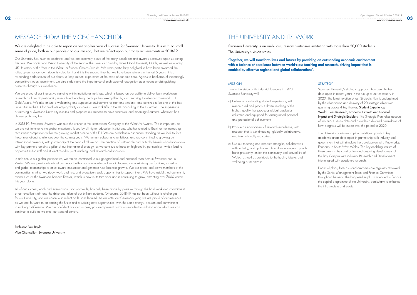# MESSAGE FROM THE VICE-CHANCELLOR THE UNIVERSITY AND ITS WORK

### **STRATEGY**

### We are delighted to be able to report on yet another year of success for Swansea University. It is with no small sense of pride, both in our people and our mission, that we reflect upon our many achievements in 2018-19.

Our University has much to celebrate, and we are extremely proud of the many accolades and awards bestowed upon us during this time. We again won Welsh University of the Year in The Times and Sunday Times Good University Guide, as well as winning UK University of the Year in the WhatUni Student Choice Awards. We were particularly delighted to have been awarded the latter, given that our own students voted for it and it is the second time that we have been winners in the last 5 years. It is a resounding endorsement of our efforts to keep student experience at the heart of our ambitions. Against a backdrop of increasingly competitive student recruitment, we also understand the importance of such external recognition as a means of distinguishing ourselves through our excellence.

In 2018-19, Swansea University was also the winner in the International Category of the WhatUni Awards. This is important, as we are not immune to the global uncertainty faced by all higher education institutions, whether related to Brexit or the increasing recruitment competition within the growing market outside of the EU. We are confident in our current standing as we look to face these international challenges over the coming years. We remain upbeat and ambitious, and are committed to growing our international presence, with partnership at the heart of all we do. The creation of sustainable and mutually beneficial collaborations with key partners remains a pillar of our international strategy, as we continue to focus on high-quality partnerships, which lead to opportunities for staff and student mobility, joint teaching, and research collaboration.

We are proud of our impressive standing within institutional rankings, which is based on our ability to deliver both world-class research and the highest quality research-led teaching, perhaps best exemplified by our Teaching Excellence Framework (TEF) Gold Award. We also ensure a welcoming and supportive environment for staff and students, and continue to be one of the best universities in the UK for graduate employability outcomes – we rank fifth in the UK according to the Guardian. The experience of studying at Swansea University inspires and prepares our students to have successful and meaningful careers, whatever their chosen path may be.

In addition to our global perspective, we remain committed to our geographical and historical roots here in Swansea and in Wales. We are passionate about our impact within our community and remain focused on maximising our facilities, expertise and global relationships to drive inward investment and generate new business growth. We are proud and active members of the communities in which we study, work and live, and proactively seek opportunities to support them. We have established community events such as the Swansea Science Festival, which is now in its third year and is continuing to grow, attracting over 7000 visitors this year alone.

All of our success, each and every award and accolade, has only been made by possible through the hard work and commitment of our excellent staff, and the drive and talent of our brilliant students. Of course, 2018-19 has not been without its challenges for our University, and we continue to reflect on lessons learned. As we enter our Centenary year, we are proud of our resilience as we look forward to embracing the future and to seizing new opportunities, with the same energy, passion and commitment to making a difference. We are confident that our success, past and present, forms an excellent foundation upon which we can continue to build as we enter our second century.

### Professor Paul Boyle

Vice-Chancellor, Swansea University

Swansea University is an ambitious, research-intensive institution with more than 20,000 students. The University's vision states:

'Together, we will transform lives and futures by providing an outstanding academic environment with a balance of excellence between world-class teaching and research, driving impact that is enabled by effective regional and global collaborations'.

### MISSION

True to the vision of its industrial founders in 1920, Swansea University will:

- a) Deliver an outstanding student experience, with research-led and practice-driven teaching of the highest quality that produces global graduates educated and equipped for distinguished personal and professional achievement.
- b) Provide an environment of research excellence, with research that is world-leading, globally collaborative, and internationally recognised.
- c) Use our teaching and research strengths, collaboration with industry, and global reach to drive economic growth, foster prosperity, enrich the community and cultural life of Wales, as well as contribute to the health, leisure, and wellbeing of its citizens.

Swansea University's strategic approach has been further developed in recent years in the run up to our centenary in 2020. The latest iteration of our Strategic Plan is underpinned by the observation and delivery of 20 strategic objectives spanning across 4 key themes; Student Experience, World-Class Research, Economic Growth and Societal Impact and Strategic Enablers. The Strategic Plan takes account of key successes to date and provides a detailed breakdown of how progress will be made over the period to 2020.

The University continues to plan ambitious growth in key academic areas developed in partnership with industry and government that will stimulate the development of a Knowledge Economy in South West Wales. The key enabling feature of these plans is the construction and on-going development of the Bay Campus with industrial Research and Development intermingled with academic research.

Financial plans, forecasts and outcomes are regularly reviewed by the Senior Management Team and Finance Committee throughout the year. The budgeted surplus is intended to finance the capital programme of the University, particularly to enhance the infrastructure and estate.

**03**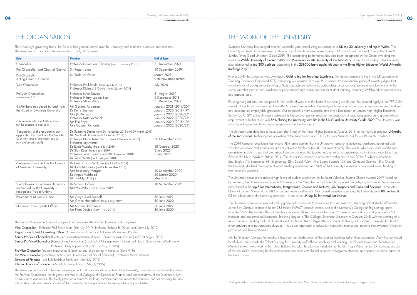| Role                                                                                                                                     | <b>Member</b>                                                                                                                                                                                                                                                                                                                                            | <b>End of Term</b>                                                                                                                                             |
|------------------------------------------------------------------------------------------------------------------------------------------|----------------------------------------------------------------------------------------------------------------------------------------------------------------------------------------------------------------------------------------------------------------------------------------------------------------------------------------------------------|----------------------------------------------------------------------------------------------------------------------------------------------------------------|
| Chancellor                                                                                                                               | Professor Dame Jean Thomas (from 1 January 2018)                                                                                                                                                                                                                                                                                                         | 31 December 2021                                                                                                                                               |
| Pro-Chancellor and Chair of Council                                                                                                      | Sir Roger Jones                                                                                                                                                                                                                                                                                                                                          | 10 September 2019                                                                                                                                              |
| Pro-Chancellor<br>Acting Chair of Council                                                                                                | Sir Roderick Evans                                                                                                                                                                                                                                                                                                                                       | March 2021<br>Until new appointment                                                                                                                            |
| Vice-Chancellor                                                                                                                          | Professor Paul Boyle (from 26 July 2019)<br>Professor Richard B Davies (until 26 July 2019)                                                                                                                                                                                                                                                              | <b>July 2024</b>                                                                                                                                               |
| Pro-Vice-Chancellors<br>(maximum of 3)                                                                                                   | Professor Iwan Davies<br>Professor Hilary Lappin-Scott<br>Professor Steve Wilks                                                                                                                                                                                                                                                                          | 31 August 2019<br>5 December 2018<br>31 December 2022                                                                                                          |
| 6 Members appointed by and from<br>the Court of Swansea University<br>(*-term ends with the AGM of Court<br>for the session in question) | Mr Gordon Anderson<br>Dr Kerry Beynon<br>Mrs Jill Burgess<br>Professor Kathryn Monk<br>Ms Elin Rhys<br>Mrs Gaynor Richards                                                                                                                                                                                                                               | January 2021 (2019/20*)<br>January 2020 (2018/19*)<br>January 2022 (2020/21*)<br>January 2022 (2020/21*)<br>January 2020 (2018/19*)<br>January 2022 (2020/21*) |
| 4 members of the academic staff<br>appointed by and from the Senate,<br>(2 of the status of professor and 2<br>non-professorial staff)   | Dr Suzanne Darra (from 20 November 2018 until 29 March 2019)<br>Mr Michael Draper (until 29 March 2019)<br>Professor Nuria Lorenzo-Dus (from 1 December 2018)<br>Professor Joy Merrell<br>Dr Ryan Murphy (from 4 July 2019)<br>Dr Sian Rees (from 4 July 2019)<br>Professor Jane Thomas (until 30 November 2018)<br>Dr Tessa Watts (until 3 August 2018) | 30 November 2022<br>18 October 2020<br>3 July 2023<br>3 July 2023                                                                                              |
| 6 members co-opted by the Council<br>of Swansea University                                                                               | Dr Debra Evans-Williams (until 9 May 2019)<br>Mr John Mahoney (until 9 November 2018)<br>Mrs Rosemary Morgan<br>Dr Angus Muirhead<br>Mr Bleddyn Phillips                                                                                                                                                                                                 | 10 September 2020<br>20 March 2020<br>May 2021                                                                                                                 |
| 2 employees of Swansea University<br>nominated by the University's<br>recognised Trades Unions                                           | Dr Simon Hoffman<br>Mrs Val Mills (Until 23 June 2019)                                                                                                                                                                                                                                                                                                   | 10 September 2019                                                                                                                                              |
| President of Students' Union                                                                                                             | Mr Gwyn Aled Rennolf<br>Ms Grace Hannaford (from 1 July 2019)                                                                                                                                                                                                                                                                                            | 30 June 2019<br>30 June 2020                                                                                                                                   |
| Students' Union Sports Officer                                                                                                           | Ms Sophie Hargreaves<br>Ms Ffion Davies (from 1 July 2019)                                                                                                                                                                                                                                                                                               | 30 June 2019<br>30 June 2020                                                                                                                                   |

Pro-Vice-Chancellor (Student Experience & Science and Engineering) – Professor Steve Wilks Pro-Vice-Chancellor (Academic & Arts and Humanities and Social Sciences) – Professor Martin Stringer Director of Finance – Mr Rob Brelsford-Smith (until 16th July 2019) Interim Director of Finance – Mr Rob Eastwood (from 16th July 2019)

Swansea University has enjoyed another successful year, establishing its position as a UK top 30 university and top in Wales. The University achieved its highest ever position in any of the UK league tables ranking 30th out of over 120 institutions in the Times & Sunday Times Good University Guide 2019. This outstanding performance has also been recognised by the Guide awarding the institution Welsh University of the Year 2019 and Runner-up for UK University of the Year 2019. In the global rankings, the University also maintained its top 300 position, appearing in the 251-300 band again this year in the Times Higher Education World University Rankings 2017-18.

The University's governing body, the Council has general control over the University and its affairs, purposes and functions. The members of Council for the year ended 31 July 2019 were:-

**05**

The Senior Management Team has operational responsibility for the University and comprises:

In June 2018, the University was awarded a Gold rating for Teaching Excellence, the highest possible rating in the UK government's Teaching Excellence Framework (TEF), cementing our position as a top UK university. An independent panel of experts judged that students from all backgrounds studying at Swansea achieve consistently outstanding outcomes (graduate-level employment or further study), and that there is clear evidence of personalised high-quality support for student learning, including Welsh-medium opportunities, and pastoral care.

Vice-Chancellor – Professor Paul Boyle (from 26th July 2019). Professor Richard B. Davies (until 26th July 2019) Registrar and Chief Operating Officer (Administration & Support Activities) Mr Andrew Rhodes Senior Pro-Vice-Chancellor (Estate and Internationalisation & Law) – Professor Iwan Davies (until 31st August 2019) Senior Pro-Vice-Chancellor (Research and Innovation & School of Management, Human and Health Science and Medicine) -Professor Hilary Lappin-Scott (until 31st August 2019)

The Management Board is the senior management and operational committee of the University, consisting of the Vice-Chancellor, the Pro-Vice-Chancellors, the Registrar, the Heads of Colleges, the Director of Finance and representatives of the Directors of key administrative operations. This body provides a forum for building common purpose across the Institution and for advising the Vice-Chancellor and other senior officers of the University on matters relating to their portfolio responsibilities.

# THE WORK OF THE UNIVERSITY

Ensuring our graduates are equipped for the world of work is at the heart of everything we do and this featured highly in our TEF Gold award. Through our Swansea Employability Academy we provide a University-wide approach to ensure students are inspired, nurtured and develop into employable graduates. Our approach is very successful and in the Destination of Leavers from Higher Education Survey (DLHE) 2018, the University achieved its highest ever performance for the proportion of graduates going on to graduate-level employment or further study with 86% placing the University joint 5th in the UK Guardian University Guide 2020. The University was also placed top in the UK for overall employment and further study.

The University was delighted to have been shortlisted by the Times Higher Education Awards 2018 for the highly prestigious University of the Year award, Technological Innovation of the Year Award and THE DataPoints Merit Award for our Research Excellence.

The 2014 Research Excellence Framework (REF) results confirm that the University's research is delivering significant, sustained and valuable economic and societal impact not just within Wales or the UK, but internationally. The results, which are valid until the next assessment in 2021, show that Swansea University achieved the biggest leap amongst research-intensive institutions – climbing from 52nd in the UK in 2008 to 26th in 2014. The University's research is now rated within the UK top 20 for 7 subjects: Medicine 2nd, English 7th, Bioscience 8th, Engineering 12th, Social Work 14th, Sports Science 15th and Computer Science 18th. Overall, the University doubled the volume of world-leading researchers and 90% of the University's research is now rated world leading or internationally excellent.

The University continues to achieve high levels of student satisfaction. In the latest WhatUni Student Choice Awards 2019 (voted for by students), the University was awarded University of the Year, the second time it has topped this category in 6 years. Swansea was also placed in the top 5 for International, Postgraduate, Courses and Lectures, Job Prospects and Clubs and Societies. In the latest National Student Survey 2019, 88% of students were satisfied with their overall experience placing the University joint 10th in the UK<sup>1</sup> Of the subject areas the University provides, 16 are in the UK top 10 for overall satisfaction.

The University continues to expand and upgrade both campuses to provide world-class research, teaching and student/staff facilities. At the Bay Campus, a state-of-the-art £35 million IMPACT research centre, part of the University's College of Engineering opens in winter 2019. The facility offers 80 single occupancy offices, hub space for over 150 researchers and co-location space for 50 industrial and academic collaborators. Teaching began in 'The College', Swansea University in October 2018 with the opening of a new academic building and a 411-bed student residence. The College offers academic Pathways at Swansea University that lead to undergraduate and postgraduate degrees. This unique approach to education transforms international students into Swansea University graduates and lifelong learners.

On the Singleton Campus the emphasis has been on refurbishment of the existing buildings rather than expansion. Work has continued to refurbish space inside the Talbot Building for University staff offices, teaching and learning, the Student Union and the Steel and Metals Institute. Future work in the Talbot Building includes the planned installation of the Bird Flight Wind Tunnel. Off campus, a state of the are facility for training health professionals has been established in space at Singleton Hospital, and space has been leased at the Civic Centre.

# THE ORGANISATION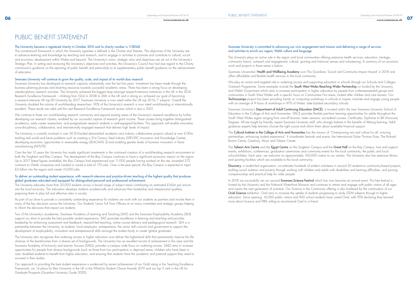# PUBLIC BENEFIT STATEMENT

### The University became a registered charity in October 2010 and its charity number is 1138342

The constitutional framework in which the University operates is defined in the Charter and Statutes. The objectives of the University are to advance learning and knowledge by teaching and research, and to engage in activities to promote and contribute to cultural, social and economic development within Wales and beyond. The University's vision, strategic aims and objectives are set out in the University's Strategic Plan. In setting and reviewing the University's objectives and activities, the University's Council has had due regard to the Charity commission's guidance on the reporting of public benefit and particularly to its supplementary public benefit guidance on the advancement of education.

### Swansea University will continue to grow the quality, scale, and impact of its world-class research

Swansea University has developed its research capacity substantially over the last five years. Investment has been made through the business planning process and diverting resources towards successful academic areas. There has been a strong focus on developing interdisciplinary research activities. The University achieved the biggest leap amongst research-intensive institutions in the UK in the 2014 Research Excellence Framework – climbing from 52nd in 2008 to 26th in the UK and in doing so, achieved our goal of becoming a research-intensive UK top-30 University by 2017. Swansea University is now rated within the UK top 20 for 7 subjects. Overall the University doubled the volume of world-leading researchers. 90% of the University's research is now rated world-leading or internationally excellent. These results are valid until the next Research Excellence Framework review which is due in 2021.

Over the last 10 years the University has made significant investments in the continued creation of a world-leading research environment at both the Singleton and Bay Campus. The development of the Bay Campus continues to have a significant economic impact on the region. Up to 2017 (latest figures available), the Bay Campus had experienced over 11,000 people having worked on the site, awarded 272 contracts to Welsh companies and created or saved a total of 170 jobs. Over a ten-year period, the Bay Campus is expected to inject £3 billion into the region and create 10,000 jobs.

We continue to foster our world-leading research community and expand existing areas of the University's research excellence by further developing our research clusters, enabled by our successful capture of research grant income. These clusters bring together distinguished academics, early career researchers, and postgraduate research students in well-equipped facilities. This approach will enable innovative cross-disciplinary, collaborative, and internationally engaged research that delivers high levels of impact.

The University is currently involved in over 30 EU-funded demand-led academic and industry collaborative projects valued at over £130m tackling real world and future problems such as creating a 21st Century Steel Industry (SPECIFIC Innovation and Knowledge Centre), developing economic opportunities in renewable energy (SEACAMS 2) and enabling greater levels of business innovation in future manufacturing (ASTUTE).

Swansea Universities' Health and Wellbeing Academy won The Guardians 'Social and Community Impact Award' in 2018 and offers affordable and flexible health services to the local community.

### To deliver an outstanding student experience, with research-intensive and practice-driven teaching of the highest quality that produces global graduates educated and equipped for distinguished personal and professional achievement.

The University educates more than 20,000 students across a broad range of subject areas contributing an estimated £162m per annum into the local economy. This education develops students academically and advances their leadership and interpersonal qualities, preparing them to play full and effective roles in society.

Swansea University's Department of Adult Continuing Education (DACE), is located within the new Swansea University School of Education in the College of Arts and Humanities. DACE provides flexible part-time learning opportunities for adults throughout the South West Wales region ranging from one-off lectures, taster sessions, accredited courses, Certificates, Diplomas to BA (Honours) Degrees. All are taught by friendly, expert Swansea University staff, who strongly believe in the benefits of lifelong learning. Adult guidance experts help learners choose the right course and inform them about available financial support.

The Cultural Institute in the College of Arts and Humanities has the mission of "Championing arts and culture for all, nurturing partnerships, enhancing student experience". It coordinates festivals and events, the International Dylan Thomas Prize, The Richard Burton Centre, Creativity, Music and Taliesin Create.

As part of our drive to provide a consistently outstanding experience for students we work with our students as partners and involve them in many of the key decisions across the University. Our Students' Union Full Time Officers sit on many committee and strategic groups helping to inform the decisions that impact our students.

The Taliesin Arts Centre and the Egypt Centre on the Singleton Campus and the Great Hall on the Bay Campus, host and support events, exhibitions, conferences, graduation ceremonies and community events for the local community, the public and local schoolchildren. Each year, we welcome on approximately 100,000 visitors to our centres. The University also has extensive library and sporting facilities which are available to the local community.

Discovery, a student-led organisation, co-ordinates hundreds of student volunteers in around 20 student-run community-based projects, tackling social isolation and poverty through working with children and adults with disabilities and learning difficulties, and proving companionship and practical help for older people.

Two of the University's academies, Swansea Academy of Learning and Teaching (SALT) and the Swansea Employability Academy (SEA) support our drive to provide the best possible student experience. SALT promotes excellence in learning and teaching and provides leadership for enhancing assessment and feedback, research-led teaching, online course delivery and pedagogical research. SEA is a partnership between the University, its students, local employers, entrepreneurs, the sector skill councils and government to support the development of employability, innovation and entrepreneurial skills amongst the student body to create 'global graduates'.

In 2018 we successfully ran our second Swansea Science Festival which has now become an annual event. This free festival is hosted by the University and the National Waterfront Museum and continues to attract and engage with public visitors of all ages and inspire the next generation of scientists. Our Science in the Community offering is also bolstered by the continuation of our Oriel Science exhibition. Oriel aims to increase the uptake of students progressing to study STEM subjects through to higher education. Since opening, 16,000 public visitors and 900 school students have visited Oriel, with 95% declaring they learned more about Science and 98% willing to recommend Oriel to a friend.

The University also recognises that widening access to higher education must deliver the higher-level skills that permanently improve the life chances of the beneficiaries from a diverse set of backgrounds. The University has an excellent record of achievement in this area and the Swansea Academy of Inclusivity and Learner Success (SAILS), provides a campus wide focus on widening access. SAILS aims to increase opportunities for people from diverse backgrounds (such as those from low participation or deprived areas, children who have been in care, disabled students) to benefit from higher education, and ensuring that students have the academic and pastoral support they need to succeed in their studies.

Our approach to providing the best student experience is evidenced by recent achievement of our Gold rating in the Teaching Excellence Framework, our 1st place for Best University in the UK in the WhatUni Student Choice Awards 2019 and our top 5 rank in the UK for Graduate Prospects (Guardian University Guide 2020).

### Swansea University is committed to advancing our civic engagement and mission and delivering a range of services and activities to enrich our region, Welsh culture and language.

The University plays an active role in the region and local communities offering extensive health services, education, heritage, community liaison, outreach and engagement, cultural, sporting and historical venues and volunteering. A summary of our provision, work and projects in these areas is below.

We play an active and targeted role in widening access and supporting education in schools through our Schools and Colleges Outreach Programme. Some examples include the South West Wales Reaching Wider Partnership co funded by the University and Welsh Government which aims to increase participation in higher education by people from underrepresented groups and communities in South West Wales with a specific focus on Communities First areas, looked after children and care leavers. Our Technocamps project has been providing hands on computing workshops in schools to inspire, motivate and engage young people with an average of 9 hours of workshops in 97% of Wales' state backed secondary schools.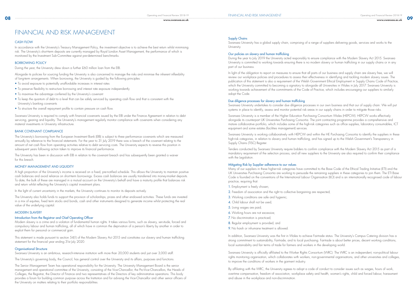**www.swansea.ac.uk**

In accordance with the University's Treasury Management Policy, the investment objective is to achieve the best return whilst minimising risk. The University's short-term deposits are currently managed by Royal London Asset Management, the performance of which is monitored by the Investment Sub-Committee against pre-determined benchmarks.

### BORROWING POLICY

During the year, the University drew down a further £60 million loan from the EIB.

Alongside its policies for sourcing funding the University is also concerned to manage the risks and minimise the inherent inflexibility of long-term arrangements. When borrowing, the University is guided by the following principles:

The University's borrowing from the European Investment Bank (EIB) is subject to three performance covenants which are measured annually by reference to the financial statements. For the year to 31 July 2019 there was a breach of the covenant relating to the amount of net cash flow from operating activities relative to debt servicing costs. The University expects to reverse this position in subsequent years following action taken to improve its financial performance.

- To avoid exposure to potentially unaffordable increases in interest rates
- To preserve flexibility to restructure borrowing and interest rate exposure independently
- To maximise the advantage conferred by the University's covenant
- To keep the quantum of debt to a level that can be safely serviced by operating cash flow and that is consistent with the University's banking covenants
- To structure the overall repayment profile to contain pressure on cash flow.

Swansea University is required to comply with financial covenants issued by the EIB under the Finance Agreement in relation to debt servicing, gearing and liquidity. The University's management regularly monitor compliance with covenants when considering any material investments in University infrastructure.

### BANK COVENANT COMPLIANCE

The University has been in discussion with EIB in relation to the covenant breach and has subsequently been granted a waiver for this breach.

### MONEY MANAGEMENT AND LIQUIDITY

A high proportion of the University's income is received on a fixed, pre-notified schedule. This allows the University to maintain positive cash balances and avoid reliance on short-term borrowings. Excess cash balances are usually transferred into money-market deposits. To date, the bulk of these are managed in a mutual account on the University's behalf and have a maturity profile that balances risk and return whilst reflecting the University's capital investment plans.

In the light of current uncertainty in the markets, the University continues to monitor its deposits actively.

The University also holds funds to support the provision of scholarships, prizes and other endowed activities. These funds are invested in a mix of equities, fixed term stocks and bonds, cash and other instruments designed to generate income whilst protecting the real value of the underlying capital.

### MODERN SLAVERY

### Introduction from the Registrar and Chief Operating Officer

Modern slavery is a crime and a violation of fundamental human rights. It takes various forms, such as slavery, servitude, forced and compulsory labour and human trafficking, all of which have in common the deprivation of a person's liberty by another in order to exploit them for personal or commercial gain.

This statement is made pursuant to section 54(1) of the Modern Slavery Act 2015 and constitutes our slavery and human trafficking statement for the financial year ending 31st July 2020.

### **Organisational Structure**

Swansea University is an ambitious, research-intensive institution with more than 20,000 students and just over 3,000 staff.

The University's governing body, the Council, has general control over the University and its affairs, purposes and functions.

The Senior Management Team has operational responsibility for the University. The University Management Board is the senior management and operational committee of the University, consisting of the Vice-Chancellor, the Pro-Vice-Chancellors, the Heads of Colleges, the Registrar, the Director of Finance and two representatives of the Directors of key administrative operations. This body provides a forum for building common purpose across the Institution and for advising the Vice-Chancellor and other senior officers of the University on matters relating to their portfolio responsibilities.

### Supply Chains

# FINANCIAL AND RISK MANAGEMENT

### **CASH FLOW**

Swansea University has a global supply chain, comprising of a range of suppliers delivering goods, services and works to the University.

### Our policies on slavery and human trafficking

During the year to July 2019 the University acted responsibly to ensure compliance with the Modern Slavery Act 2015. Swansea University is committed to working towards ensuring there is no modern slavery or human trafficking in our supply chains or in any part of our business.

In light of the obligation to report on measures to ensure that all parts of our business and supply chain are slavery free, we will review our workplace policies and procedures to assess their effectiveness in identifying and tackling modern slavery issues. The publication of this statement is also a requirement of the Welsh Government Ethical Employment in Supply Chains Code of Practice, which the University committed to becoming a signatory to alongside all Universities in Wales in July 2017. Swansea University is working towards achievement of the commitments of the Code of Practice, which includes encouraging our suppliers to similarly adopt the Code.

### Due diligence processes for slavery and human trafficking

Swansea University undertakes to consider due diligence processes in our own business and that our of supply chain. We will put systems in place to identify, assess and monitor potential risk areas in our supply chains in order to mitigate those risks.

Swansea University is a member of the Higher Education Purchasing Consortium Wales (HEPCW). HEPCW works effectively alongside its counterpart UK Universities Purchasing Consortia. The joint contracting programme provides a comprehensive and mature collaborative portfolio, which includes some of the high-risk categories such as office supplies, laboratory consumables, ICT equipment and some estates (facilities management) services.

Swansea University is working collaboratively with HEPCW and within the HE Purchasing Consortia to identify the suppliers in these high-risk categories, in relation to slavery and human trafficking, and has signed up to the Welsh Government's Transparency in Supply Chains (TISC) Register.

Tenders conducted by Swansea University require bidders to confirm compliance with the Modern Slavery Act 2015 as part of a mandatory requirement of the selection process, and all new suppliers to the University are also required to confirm their compliance with the Legislation.

### Mitigating Risk by Supplier adherence to our values

Many of our suppliers in these higher-risk categories have committed to the Base Code of the Ethical Trading Initiative (ETI) and the UK Universities Purchasing Consortia are working to persuade the remaining suppliers in these categories to join them. The ETI Base Code is founded on the conventions of the International Labour Organisation (ILO) and is an internationally recognised code of labour practice, requiring that:

- 1. Employment is freely chosen;
- 2. Freedom of association and the right to collective bargaining are respected;
- 3. Working conditions are safe and hygienic;
- 4. Child labour shall not be used;
- 5. Living wages are paid;
- 6. Working hours are not excessive;
- 7. No discrimination is practiced;
- 8. Regular employment is provided; and
- 9. No harsh or inhumane treatment is allowed.

In addition, Swansea University was the first in Wales to achieve Fairtrade status. The University's Campus Catering division has a strong commitment to sustainability, Fairtrade, and to local purchasing. Fairtrade is about better prices, decent working conditions, local sustainability and fair terms of trade for farmers and workers in the developing world.

Swansea University is officially affiliated to the Worker Rights Consortium (WRC). The WRC is an independent, non-political labour rights monitoring organisation, which collaborates with workers, non-governmental organisations, and other universities and colleges, to improve the conditions of workers in the garment industry.

By affiliating with the WRC, the University agrees to adopt a code of conduct to consider issues such as wages, hours of work, overtime compensation, freedom of association, workplace safety and health, women's rights, child and forced labour, harassment and abuse in the workplace and non-discrimination.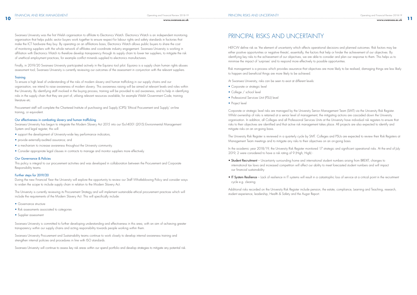**www.swansea.ac.uk**

Swansea University was the first Welsh organisation to affiliate to Electronics Watch. Electronics Watch is an independent monitoring organisation that helps public sector buyers work together to ensure respect for labour rights and safety standards in factories that make the ICT hardware they buy. By operating on an affiliations basis, Electronics Watch allows public buyers to share the cost of monitoring suppliers with the whole network of affiliates and coordinate industry engagement. Swansea University is working in affiliation with Electronics Watch to therefore develop transparency through its supply chain to lower tier suppliers, to mitigate the risk of unethical employment practices, for example conflict minerals supplied to electronics manufacturers.

Swansea University has begun to integrate the Modern Slavery Act 2015 into our ISo14001 (2015) Environmental Management System and legal register, this will:

Finally, in 2019/20 Swansea University participated actively in the Equiano tool pilot. Equiano is a supply chain human rights abuses assessment tool; Swansea University is currently reviewing our outcomes of the assessment in conjunction with the relevant suppliers.

### **Training**

To ensure a high level of understanding of the risks of modern slavery and human trafficking in our supply chains and our organisation, we intend to raise awareness of modern slavery. This awareness raising will be aimed at relevant levels and roles within the University. By identifying staff involved in the buying process, training will be provided to aid awareness, and to help in identifying risks in the supply chain that they are part of, utilising relevant resources available, for example Welsh Government Code, training literature etc.

Procurement staff will complete the Chartered Institute of purchasing and Supply (CIPS) 'Ethical Procurement and Supply' on-line training, or equivalent.

### Our effectiveness in combating slavery and human trafficking

- Corporate or strategic level
- College / school level
- Professional Services Unit (PSU) level
- Project level

- support the development of University-wide key performance indicators;
- provide externally-audited assurance; and
- a mechanism to increase awareness throughout the University community.
- Consider appropriate legal clauses in contracts to manage and monitor suppliers more effectively.

### Our Governance & Policies

This policy is integral to our procurement activities and was developed in collaboration between the Procurement and Corporate Responsibility teams.

### Further steps for 2019/20

During the new Financial Year the University will explore the opportunity to review our Staff Whistleblowing Policy and consider ways to widen the scope to include supply chain in relation to the Modern Slavery Act.

The University is currently reviewing its Procurement Strategy and will implement sustainable ethical procurement practices which will include the requirements of the Modern Slavery Act. This will specifically include:

- Governance structure
- Risk assessments associated to categories
- Supplier assessment

Swansea University is committed to further developing understanding and effectiveness in this area, with an aim of achieving greater transparency within our supply chains and acting responsibility towards people working within them.

Swansea University Procurement and Sustainability teams continue to work closely to develop internal awareness training and strengthen internal policies and procedures in line with ISO standards.

Swansea University will continue to assess key risk areas within our spend portfolio and develop strategies to mitigate any potential risk.

# PRINCIPAL RISKS AND UNCERTAINTY

HEFCW define risk as 'the element of uncertainty which affects operational decisions and planned outcomes. Risk factors may be either positive opportunities or negative threats', essentially, the factors that help or hinder the achievement of our objectives. By identifying key risks to the achievement of our objectives, we are able to consider and plan our response to them. This helps us to minimise the impact of 'surprises' and to respond more effectively to possible opportunities.

Risk management is a process which provides assurance that objectives are more likely to be realised, damaging things are less likely to happen and beneficial things are more likely to be achieved.

At Swansea University, risks can be seen to exist at different levels:

Corporate or strategic level risks are managed by the University Senior Management Team (SMT) via the University Risk Register. Whilst ownership of risks is retained at a senior level of management, the mitigating actions are cascaded down the University organisation. In addition, all Colleges and all Professional Services Units at the University have individual risk registers to ensure that risks to their objectives are identified and that active risk management takes place. All projects are also expected to identify and mitigate risks on an on-going basis.

The University Risk Register is reviewed in a quarterly cycle by SMT. Colleges and PSUs are expected to review their Risk Registers at Management Team meetings and to mitigate any risks to their objectives on an on-going basis.

In the academic year 2018/19, the University Risk Register monitored 17 strategic and significant operational risks. At the end of July 2019, 2 were considered to have a risk rating of 9 (High, High) -

- Student Recruitment Uncertainty surrounding home and international student numbers arising from BREXIT, changes to international tax laws and increased competition will affect our ability to meet forecasted student numbers and will impact our financial sustainability
- IT System Resilience Lack of resilience in IT systems will result in a catastrophic loss of service at a critical point in the recruitment cycle e.g. clearing

Additional risks recorded on the University Risk Register include pension, the estate, compliance, Learning and Teaching, research, student experience, leadership, Health & Safety and the Augar Report.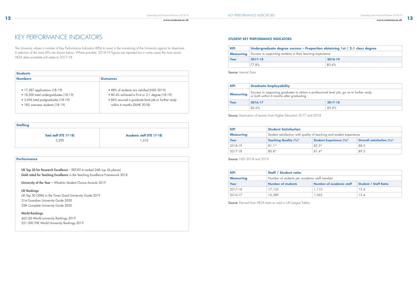**www.swansea.ac.uk**

KEY PERFORMANCE INDICATORS

| <b>Numbers</b>                        | <b>Outcomes</b>                                     |
|---------------------------------------|-----------------------------------------------------|
| $\bullet$ 17,387 applications (18-19) | • 88% of students are satisfied (NSS 2019)          |
| · 18,500 total undergraduates (18-19) | • 80.4% achieved a First or 2:1 degree (18-19)      |
| • 3,696 total postgraduates (18-19)   | · 86% secured a graduate level job or further study |
| · 18% overseas students (18-19)       | within 6 months (DLHE 2018)                         |

UK Top 30 for Research Excellence - REF2014 ranked 26th (up 26 places) Gold rated for Teaching Excellence in the Teaching Excellence Framework 2018

University of the Year - WhatUni Student Choice Awards 2019

The University utilises a number of Key Performance Indicators (KPIs) to assist in the monitoring of the University against its objectives. A selection of the main KPIs are shown below. Where possible, 2018-19 figures are reported but in some cases the most recent HESA data available will relate to 2017-18.

### **Staffing**

Total staff (FTE 17-18) 3,290

Academic staff (FTE 17-18)

1,510

### **Performance**

UK Rankings UK Top 30 (30th) in the Times Good University Guide 2019 31st Guardian University Guide 2020 35th Complete University Guide 2020

World Rankings 462 QS World university Rankings 2019 251-300 THE World University Rankings 2019

### STUDENT KEY PERFORMANCE INDICATORS

| <b>KPI</b>       | Undergraduate degree success - Proportion obtaining 1st / 2.1 class degree |         |  |
|------------------|----------------------------------------------------------------------------|---------|--|
| <b>Measuring</b> | Success in supporting students in their learning experience                |         |  |
| Year             | $2017 - 18$                                                                | 2018-19 |  |
|                  | 77.8%                                                                      | 80.6%   |  |

Source: Internal Data

| <b>KPI</b>       | <b>Graduate Employability</b>                                                                                                          |        |
|------------------|----------------------------------------------------------------------------------------------------------------------------------------|--------|
| <b>Measuring</b> | Success in supporting graduates to obtain a professional level job, go on to further study<br>or both within 6 months after graduating |        |
| Year             | 2017-18<br>2016-17                                                                                                                     |        |
|                  | 82.6%                                                                                                                                  | 8.5.6% |

Source: Destination of Leavers from Higher Education 2017 and 2018

| <b>KPI</b>       | <b>Student Satisfaction</b>                                          |                                |                                  |
|------------------|----------------------------------------------------------------------|--------------------------------|----------------------------------|
| <b>Measuring</b> | Student satisfaction with quality of teaching and student experience |                                |                                  |
| Year             | <b>Teaching Quality (%)*</b>                                         | <b>Student Experience (%)*</b> | <b>Overall satisfaction (%)*</b> |
| 2018-19          | $81.1*$                                                              | $82.3*$                        | 88.3                             |
| 2017-18          | $80.8*$                                                              | $81.4*$                        | 89.3                             |

Source: NSS 2018 and 2019

| <b>KPI</b>       | <b>Staff / Student ratio</b>                 |                                 |                              |
|------------------|----------------------------------------------|---------------------------------|------------------------------|
| <b>Measuring</b> | Number of students per academic staff member |                                 |                              |
| Year             | <b>Number of students</b>                    | <b>Number of academic staff</b> | <b>Student / Staff Ratio</b> |
| 2017-18          | 17.135                                       | 1,110                           | 15.4                         |
| 2016-17          | 16,389                                       | 1.062                           | 15.4                         |

Source: Derived from HESA data as used in UK League Tables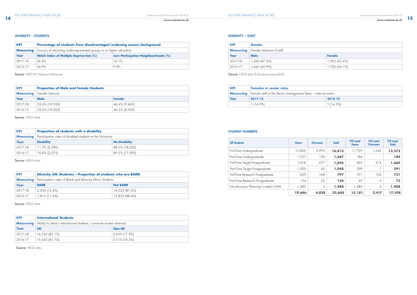### DIVERSITY – STAFF

### STUDENT NUMBERS

| <b>KPI</b>       | Percentage of students from disadvantaged (widening access) background |                                             |
|------------------|------------------------------------------------------------------------|---------------------------------------------|
| <b>Measuring</b> | Success at attracting under-represented groups in to higher education  |                                             |
| Year             | <b>Welsh Index of Multiple Depriva-tion (%)</b>                        | <b>Low Participation Neighbourhoods (%)</b> |
| 2017-18          | 34.4%                                                                  | 10.1%                                       |
| 2016-17          | 34.9%                                                                  | 9.8%                                        |

Source: HEFCW National Measures

| <b>KPI</b> | <b>Proportion of Male and Female Students</b> |               |
|------------|-----------------------------------------------|---------------|
|            | <b>Measuring</b> Gender balance               |               |
| Year       | Male                                          | Female        |
| 2017-18    | 53.6% (10,950)                                | 46.4% (9,465) |
| 2016-17    | 53.5% (10,205)                                | 46.5% (8,905) |

Source: HESA data

| <b>KPI</b> | Proportion of students with a disability                                      |                      |
|------------|-------------------------------------------------------------------------------|----------------------|
|            | <b>Measuring</b>   Participation rates of disabled students at the University |                      |
| Year       | <b>Disability</b>                                                             | <b>No Disability</b> |
| 2017-18    | 11.7% (2,390)                                                                 | 88.3% (18,025)       |
| 2016-17    | 10.8% (2,075)                                                                 | 89.2% (17,090)       |

Source: HESA data

| <b>KPI</b>       | <b>Ethnicity (UK Students) - Proportion of students who are BAME</b> |                 |
|------------------|----------------------------------------------------------------------|-----------------|
| <b>Measuring</b> | Participation rates of Black and Minority Ethnic Students            |                 |
| Year             | <b>BAME</b>                                                          | <b>Not BAME</b> |
| 2017-18          | $\mid$ 2,050 (12.4%)                                                 | 14,525 (87.6%)  |
| 2016-17          | 1,815 (11.6%)                                                        | 13,835 (88.4%)  |

Source: HESA data

| <b>KPI</b>       | <b>International Students</b>                                         |               |
|------------------|-----------------------------------------------------------------------|---------------|
| <b>Measuring</b> | Ability to attract international students / promote student diversity |               |
| Year             | <b>UK</b>                                                             | <b>Non-UK</b> |
| 2017-18          | 16,765 (82.1%)                                                        | 3,650 (17.9%) |
| 2016-17          | 15,650 (81.7%)                                                        | 3,510(18.3%)  |

Source: HESA data

Operating and Financial Review 2018-19 **14 www.swansea.ac.uk** 

| <b>KPI</b> | Gender                                   |               |
|------------|------------------------------------------|---------------|
|            | <b>Measuring</b> Gender balance of staff |               |
| Year       | Male                                     | Female        |
| 2017-18    | 1,620 (47.6%)                            | 1,905 (52.4%) |
| 2016-17    | 1,445 (45.9%)                            | 1,705 (54.1%) |

Source: HESA data (Full person equivalent).

| <b>KPI</b> | <b>Females in senior roles</b>                                                  |             |  |
|------------|---------------------------------------------------------------------------------|-------------|--|
|            | <b>Measuring</b>   Female staff in the Senior management Team – internal metric |             |  |
| Year       | 2017-18                                                                         | 2018-19     |  |
|            | 1 (14.3%)                                                                       | $1(14.3\%)$ |  |

| <b>All Students</b>               | Home   | <b>Overseas</b> | <b>Total</b> | <b>FTE Load</b><br>Home | <b>FTE</b> Load<br><b>Overseas</b> | <b>FTE</b> Load<br><b>Total</b> |
|-----------------------------------|--------|-----------------|--------------|-------------------------|------------------------------------|---------------------------------|
| Full-Time Undergraduate           | 13,820 | 2,993           | 16,813       | 11,729                  | 1,643                              | 13,372                          |
| Part-Time Undergraduate           | 1,557  | 130             | 1,687        | 184                     |                                    | 184                             |
| Full-Time Taught Postgraduate     | 1,018  | 677             | 1,695        | 855                     | 614                                | 1,469                           |
| Part-Time Taught Postgraduate     | 1,003  | 45              | 1,048        | 290                     |                                    | 291                             |
| Full-Time Research Postgraduate   | 629    | 168             | 797          | 571                     | 150                                | 721                             |
| Part-Time Research Postgraduate   | 134    | 22              | 156          | 67                      | 6                                  | 73                              |
| Non-Business Planning Funded CHHS | 1,485  | 3               | 1,488        | 1,485                   | 3                                  | 1,488                           |
|                                   | 19,646 | 4,038           | 23,684       | 15,181                  | 2,417                              | 17,598                          |

### DIVERSITY – STUDENTS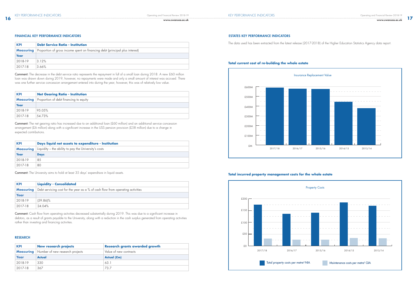### RESEARCH

**17**



| <b>KPI</b> | <b>Debt Service Ratio - Institution</b>                                                       |  |  |
|------------|-----------------------------------------------------------------------------------------------|--|--|
|            | <b>Measuring</b> Proportion of gross income spent on financing debt (principal plus interest) |  |  |
| Year       |                                                                                               |  |  |
| 2018-19    | 3.12%                                                                                         |  |  |
| 2017-18    | 3.66%                                                                                         |  |  |

Comment: The decrease in the debt service ratio represents the repayment in full of a small loan during 2018. A new £60 million loan was drawn down during 2019, however, no repayments were made and only a small amount of interest was accrued. There was one further service concession arrangement entered into during the year; however, this was of relatively low value.

Comment: The net gearing ratio has increased due to an additional loan (£60 million) and an additional service concession arrangement (£6 million) along with a significant increase in the USS pension provision (£58 million) due to a change in expected contributions.

| <b>KPI</b> | <b>Net Gearing Ratio - Institution</b>                  |
|------------|---------------------------------------------------------|
|            | <b>Measuring</b> Proportion of debt financing to equity |
| Year       |                                                         |
| 2018-19    | 95.05%                                                  |
| 2017-18    | 154.73%                                                 |

| <b>KPI</b>       | Days liquid net assets to expenditure - Institution   |
|------------------|-------------------------------------------------------|
| <b>Measuring</b> | Liquidity – the ability to pay the University's costs |
| Year             | <b>Days</b>                                           |
| 2018-19          | 85                                                    |
| 2017-18          | 80                                                    |

Comment: The University aims to hold at least 35 days' expenditure in liquid assets.

| <b>KPI</b>       | <b>Liquidity - Consolidated</b>                                                |
|------------------|--------------------------------------------------------------------------------|
| <b>Measuring</b> | Debt servicing cost for the year as a % of cash flow from operating activities |
| Year             |                                                                                |
| 2018-19          | $(59.86)\%$                                                                    |
| 2017-18          | 24.04%                                                                         |

Comment: Cash flow from operating activities decreased substantially during 2019. This was due to a significant increase in debtors, as a result of grants payable to the University, along with a reduction in the cash surplus generated from operating activities rather than investing and financing activities.

| <b>KPI</b> | <b>New research projects</b>                     | <b>Research grants awarded growth</b> |
|------------|--------------------------------------------------|---------------------------------------|
|            | <b>Measuring</b> Number of new research projects | Value of new contracts                |
| Year       | Actual                                           | Actual (£m)                           |
| 2018-19    | 330                                              | 63.1                                  |
| 2017-18    | 367                                              | 73.7                                  |

## **16 www.swansea.ac.uk**

### FINANCIAL KEY PERFORMANCE INDICATORS

The data used has been extracted from the latest release (2017-2018) of the Higher Education Statistics Agency data report.

### **Total current cost of re-building the whole estate**

### **Total incurred property management costs for the whole estate**





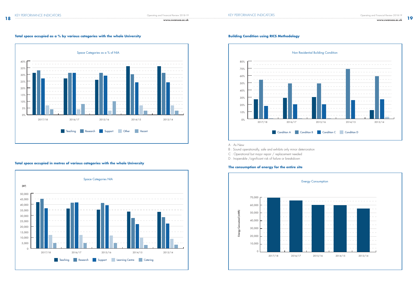### **18 www.swansea.ac.uk**

**19**

### **Total space occupied as a % by various categories with the whole University**

### **Total space occupied in metres of various categories with the whole University**

### **Building Condition using RICS Methodology**

A : As New

B : Sound operationally, safe and exhibits only minor deterioration

C : Operational but major repair / replacement needed

D : Inoperable /significant risk of failure or breakdown

### **The consumption of energy for the entire site**







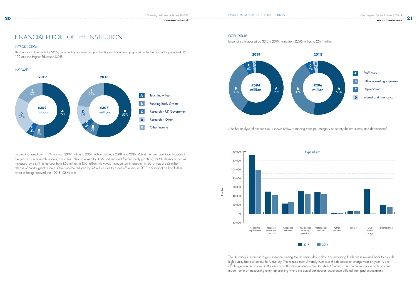The Financial Statements for 2019, along with prior year comparative figures, have been prepared under the accounting standard FRS 102 and the Higher Education SORP.

Income increased by 14.7%, up from £307 million to £352 million between 2018 and 2019. Whilst the most significant increase in the year was in research income, tuition fees also increased by 1.5% and recurrent funding body grants by 18.4%. Research income increased by 83.1% in the year from £52 million to £95 million. However, included within research in 2019 was a £32 million release of capital grant income. Other Income reduced by £6 million due to a one off receipt in 2018 (£5 million) and no further royalties being received after 2018 (£2 million).

**21**

Expenditure increased by 33% in 2019, rising from £296 million to £394 million.

The University's income is largely spent on running the University day-to-day. Any remaining funds are reinvested back to provide high quality facilities across the University. This reinvestment ultimately increases the depreciation charge year on year. A one off charge was recognised in the year of £58 million relating to the USS deficit funding. This charge was not a cash payment made, rather an accounting entry representing where the actual contribution experience differed from past expectations.



A further analysis of expenditure is shown below, analysing costs per category of activity (before interest and depreciation).

# FINANCIAL REPORT OF THE INSTITUTION EXPENDITURE

### **INTRODUCTION**

£ million



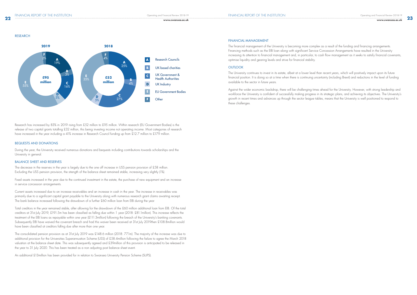### RESEARCH

Research has increased by 83% in 2019 rising from £52 million to £95 million. Within research (EU Government Bodies) is the release of two capital grants totalling £32 million, this being investing income not operating income. Most categories of research have increased in the year including a 41% increase in Research Council funding up from £12.7 million to £17.9 million.

### BEQUESTS AND DONATIONS

During the year, the University received numerous donations and bequests including contributions towards scholarships and the University in general.

### BALANCE SHEET AND RESERVES

The decrease in the reserves in the year is largely due to the one off increase in USS pension provision of £58 million. Excluding the USS pension provision, the strength of the balance sheet remained stable, increasing very slightly (1%).

Fixed assets increased in the year due to the continued investment in the estate, the purchase of new equipment and an increase in service concession arrangements.

Current assets increased due to an increase receivables and an increase in cash in the year. The increase in receivables was primarily due to a significant capital grant payable to the University along with numerous research grant claims awaiting receipt. The bank balance increased following the drawdown of a further £60 million loan from EIB during the year

Total creditors in the year remained stable, after allowing for the drawdown of the £60 million additional loan from EIB. Of the total creditors at 31st July 2019, £191.5m has been classified as falling due within 1 year (2018: £81.1million). This increase reflects the treatment of the EIB loans as repayable within one year (£111.3million) following the breach of the University's banking covenants. Subsequently EIB have waived the covenant breach and had this waiver been received at 31st July 2019then £108.8million would have been classified at creditors falling due after more than one year.



The consolidated pension provision as at 31st July 2019 was £148.6 million (2018: 77.1m). The majority of the increase was due to additional provision for the Universities Superannuation Scheme (USS) of £58.4million following the failure to agree the March 2018 valuation at the balance sheet date. This was subsequently agreed and £39million of this provision is anticipated to be released in the year to 31 July 2020. This has been treated as a non adjusting post balance sheet event.

An additional £13million has been provided for in relation to Swansea University Pension Scheme (SUPS).

### FINANCIAL MANAGEMENT

The financial management of the University is becoming more complex as a result of the funding and financing arrangements. Financing methods such as the EIB loan along with significant Service Concession Arrangements have resulted in the University increasing its attention to financial management and, in particular, to cash flow management as it seeks to satisfy financial covenants, optimise liquidity and gearing levels and strive for financial stability.

### **OUTLOOK**

The University continues to invest in its estate, albeit at a lower level than recent years, which will positively impact upon its future financial position. It is doing so at a time when there is continuing uncertainty (including Brexit) and reductions in the level of funding available to the sector in future years.

Against the wider economic backdrop, there will be challenging times ahead for the University. However, with strong leadership and workforce the University is confident of successfully making progress in its strategic plans, and achieving its objectives. The University's growth in recent times and advances up through the sector league tables, means that the University is well positioned to respond to these challenges.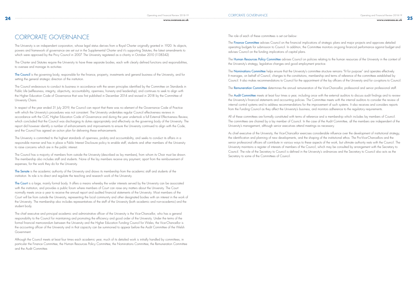# CORPORATE GOVERNANCE

The University is an independent corporation, whose legal status derives from a Royal Charter originally granted in 1920. Its objects, powers and framework of governance are set out in the Supplemental Charter and it's supporting Statutes, the latest amendments to which were approved by the Privy Council in 2007. The University registered as a charity in October 2010 (1138342).

The Council is the governing body, responsible for the finance, property, investments and general business of the University, and for setting the general strategic direction of the institution.

The Charter and Statutes require the University to have three separate bodies, each with clearly defined functions and responsibilities, to oversee and manage its activities:

The Council endeavours to conduct its business in accordance with the seven principles identified by the Committee on Standards in Public Life (selflessness, integrity, objectivity, accountability, openness, honesty and leadership), and continues to seek to align with the Higher Education Code of Governance that was first published in December 2014 and revised in 2018 by the Committee of University Chairs.

The University is committed to the highest standards of openness, probity and accountability, and seeks to conduct its affairs in a responsible manner and has in place a Public Interest Disclosure policy to enable staff, students and other members of the University to raise concerns which are in the public interest.

In respect of the year ended 31 July 2019, the Council can report that there was no element of the Governance Code of Practice with which the University's procedures was not consistent. The University undertakes regular Council effectiveness reviews in accordance with the CUC Higher Education Code of Governance and during the year undertook a full External Effectiveness Review, which concluded that the Council was discharging its duties appropriately and effectively as the governing body of the University. The report did however identify a number of enhancements and improvements to ensure the University continued to align with the Code, and the Council has agreed an action plan for delivering these enhancements.

The Court is a large, mainly formal body. It offers a means whereby the wider interests served by the University can be associated with the institution, and provides a public forum where members of Court can raise any matters about the University. The Court normally meets once a year to receive the annual report and audited financial statements of the University. Most members of the Court will be from outside the University, representing the local community and other designated bodies with an interest in the work of the University. The membership also includes representatives of the staff of the University (both academic and non-academic) and the student body.

The Human Resources Policy Committee advises Council on policies relating to the human resources of the University in the context of the University's strategy, legislative changes and good employment practice.

The Council has a majority of members from outside the University (described as lay members), from whom its Chair must be drawn. The membership also includes staff and students. None of the lay members receive any payment, apart from the reimbursement of expenses, for the work they do for the University.

The Nominations Committee helps ensure that the University's committee structure remains "fit for purpose" and operates effectively. It manages, on behalf of Council, changes to the constitutions, membership and terms of reference of the committees established by Council. It also makes recommendations to Council for the appointment of the lay officers of the University and for co-options to Council.

The Remuneration Committee determines the annual remuneration of the Vice-Chancellor, professorial and senior professional staff

The Senate is the academic authority of the University and draws its membership from the academic staff and students of the institution. Its role is to direct and regulate the teaching and research work of the University.

The Audit Committee meets at least four times a year, including once with the external auditors to discuss audit findings and to review the University's financial statements and accounting policies. The Committee meets with the internal auditors to consider the review of internal control systems and to address recommendations for the improvement of such systems. It also receives and considers reports from the Funding Council as they affect the University's business, and monitors adherence to the regulatory requirements.

As chief executive of the University, the Vice-Chancellor exercises considerable influence over the development of institutional strategy, the identification and planning of new developments, and the shaping of the institutional ethos. The Pro-Vice-Chancellors and the senior professional officers all contribute in various ways to these aspects of the work, but ultimate authority rests with the Council. The University maintains a register of interests of members of the Council, which may be consulted by arrangement with the Secretary to Council. The role of the Secretary to Council is defined in the University's ordinances and the Secretary to Council also acts as the Secretary to some of the Committees of Council.

The chief executive and principal academic and administrative officer of the University is the Vice-Chancellor, who has a general responsibility to the Council for maintaining and promoting the efficiency and good order of the University. Under the terms of the formal financial memorandum between the University and the Higher Education Funding Council for Wales, the Vice-Chancellor is the accounting officer of the University and in that capacity can be summoned to appear before the Audit Committee of the Welsh Government.

Although the Council meets at least four times each academic year, much of its detailed work is initially handled by committees, in particular the Finance Committee, the Human Resources Policy Committee, the Nominations Committee, the Remuneration Committee and the Audit Committee.

The role of each of these committees is set out below:

The Finance Committee advises Council on the financial implications of strategic plans and major projects and approves detailed operating budgets for submission to Council. In addition, the Committee monitors on-going financial performance against budget and advises Council on the funding implications of capital plans.

All of these committees are formally constituted with terms of reference and a membership which includes lay members of Council. The committees are chaired by a lay member of Council. In the case of the Audit Committee, all the members are independent of the University's management, although senior executives attend meetings as necessary.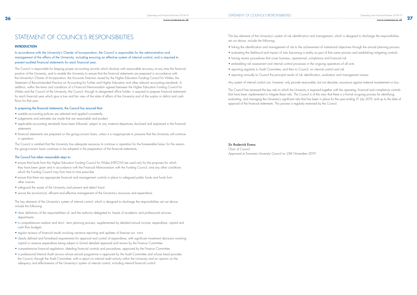In accordance with the University's Charter of Incorporation, the Council is responsible for the administration and management of the affairs of the University, including ensuring an effective system of internal control, and is required to present audited financial statements for each financial year.

The Council is responsible for keeping proper accounting records which disclose with reasonable accuracy at any time the financial position of the University, and to enable the University to ensure that the financial statements are prepared in accordance with the University's Charter of Incorporation; the Accounts Direction issued by the Higher Education Funding Council for Wales; the Statement of Recommended Practice on Accounting for Further and Higher Education and other relevant accounting standards. In addition, within the terms and conditions of a Financial Memorandum agreed between the Higher Education Funding Council for Wales and the Council of the University, the Council, through its designated office holder, is required to prepare financial statements for each financial year which give a true and fair view of the state of affairs of the University and of the surplus or deficit and cash flows for that year.

### In preparing the financial statements, the Council has ensured that:

- suitable accounting policies are selected and applied consistently
- judgements and estimates are made that are reasonable and prudent
- applicable accounting standards have been followed, subject to any material departures disclosed and explained in the financial statements
- financial statements are prepared on the going-concern basis, unless it is inappropriate to presume that the University will continue in operation.

The Council is satisfied that the University has adequate resources to continue in operation for the foreseeable future; for this reason the going-concern basis continues to be adopted in the preparation of the financial statements.

### The Council has taken reasonable steps to:

- ensure that funds from the Higher Education Funding Council for Wales (HEFCW) are used only for the purposes for which they have been given and in accordance with the Financial Memorandum with the Funding Council, and any other conditions which the Funding Council may from time to time prescribe
- ensure that there are appropriate financial and management controls in place to safeguard public funds and funds from other sources
- safeguard the assets of the University and prevent and detect fraud
- secure the economical, efficient and effective management of the University's resources and expenditure.

The key elements of the University's system of internal control, which is designed to discharge the responsibilities set out above, include the following:

- clear definitions of the responsibilities of, and the authority delegated to, heads of academic and professional services departments
- a comprehensive medium and short term planning process, supplemented by detailed annual income, expenditure, capital and cash flow budgets
- regular reviews of financial results involving variance reporting and updates of forecast out turns
- clearly defined and formalised requirements for approval and control of expenditure, with significant investment decisions involving capital or revenue expenditure being subject to formal detailed appraisal and review by the Finance Committee
- comprehensive financial regulations, detailing financial controls and procedures, approved by the Finance Committee
- a professional Internal Audit service whose annual programme is approved by the Audit Committee and whose head provides the Council, through the Audit Committee, with a report on internal audit activity within the University and an opinion on the adequacy and effectiveness of the University's system of internal control, including internal financial control.

The key elements of the University's system of risk identification and management, which is designed to discharge the responsibilities set out above, include the following:

- linking the identification and management of risk to the achievement of institutional objectives through the annual planning process
- 
- evaluating the likelihood and impact of risks becoming a reality as part of that same process and establishing mitigating controls • having review procedures that cover business, operational, compliance and financial risk
- embedding risk assessment and internal control processes in the ongoing operations of all units
- reporting regularly to Audit Committee, and then to Council, on internal control and risk
- reporting annually to Council the principal results of risk identification, evaluation and management review.

Any system of internal control can, however, only provide reasonable, but not absolute, assurance against material misstatement or loss.

The Council has reviewed the key risks to which the University is exposed together with the operating, financial and compliance controls that have been implemented to mitigate these risks. The Council is of the view that there is a formal on-going process for identifying. evaluating, and managing the University's significant risks that has been in place for the year ending 31 July 2019, and up to the date of approval of the financial statements. This process is regularly reviewed by the Council.

Sir Roderick Evans

Chair of Council *Approved at Swansea University Council on 25th November 2019*

# STATEMENT OF COUNCIL'S RESPONSIBILITIES

### **INTRODUCTION**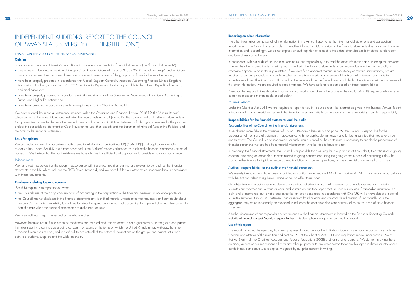# INDEPENDENT AUDITORS' REPORT TO THE COUNCIL OF SWANSEA UNIVERSITY (THE "INSTITUTION")

### REPORT ON THE AUDIT OF THE FINANCIAL STATEMENTS

### **Opinion**

In our opinion, Swansea University's group financial statements and institution financial statements (the "financial statements"):

- give a true and fair view of the state of the group's and the institution's affairs as at 31 July 2019, and of the group's and institution's income and expenditure, gains and losses, and changes in reserves and of the group's cash flows for the year then ended;
- have been properly prepared in accordance with United Kingdom Generally Accepted Accounting Practice (United Kingdom Accounting Standards, comprising FRS 102 "The Financial Reporting Standard applicable in the UK and Republic of Ireland", and applicable law);
- have been properly prepared in accordance with the requirements of the Statement of Recommended Practice Accounting for Further and Higher Education; and
- have been prepared in accordance with the requirements of the Charities Act 2011.

We have audited the financial statements, included within the Operating and Financial Review 2018-19 (the "Annual Report"), which comprise: the consolidated and institution Balance Sheets as at 31 July 2019; the consolidated and institution Statements of Comprehensive Income for the year then ended; the consolidated and institution Statements of Changes in Reserves for the year then ended; the consolidated Statement of Cash Flows for the year then ended; and the Statement of Principal Accounting Policies; and the notes to the financial statements.

We remained independent of the group in accordance with the ethical requirements that are relevant to our audit of the financial statements in the UK, which includes the FRC's Ethical Standard, and we have fulfilled our other ethical responsibilities in accordance with these requirements.

### Basis for opinion

We conducted our audit in accordance with International Standards on Auditing (UK) ("ISAs (UK)") and applicable law. Our responsibilities under ISAs (UK) are further described in the Auditors' responsibilities for the audit of the financial statements section of our report. We believe that the audit evidence we have obtained is sufficient and appropriate to provide a basis for our opinion.

### Independence

### Conclusions relating to going concern

ISAs (UK) require us to report to you when:

- the Council's use of the going concern basis of accounting in the preparation of the financial statements is not appropriate; or
- the Council has not disclosed in the financial statements any identified material uncertainties that may cast significant doubt about the group's and institution's ability to continue to adopt the going concern basis of accounting for a period of at least twelve months from the date when the financial statements are authorised for issue.

We have nothing to report in respect of the above matters.

In preparing the financial statements, the Council is responsible for assessing the group and institution's ability to continue as a going concern, disclosing as applicable, matters related to going concern and using the going concern basis of accounting unless the Council either intends to liquidate the group and institution or to cease operations, or has no realistic alternative but to do so.

However, because not all future events or conditions can be predicted, this statement is not a guarantee as to the group and parent institution's ability to continue as a going concern. For example, the terms on which the United Kingdom may withdraw from the European Union are not clear, and it is difficult to evaluate all of the potential implications on the group's and parent institution's activities, students, suppliers and the wider economy.

### Reporting on other information

A further description of our responsibilities for the audit of the financial statements is located on the Financial Reporting Council's website at: www.frc.org.uk/auditorsresponsibilities. This description forms part of our auditors' report.

The other information comprises all of the information in the Annual Report other than the financial statements and our auditors' report thereon. The Council is responsible for the other information. Our opinion on the financial statements does not cover the other information and, accordingly, we do not express an audit opinion or, except to the extent otherwise explicitly stated in this report, any form of assurance thereon.

In connection with our audit of the financial statements, our responsibility is to read the other information and, in doing so, consider whether the other information is materially inconsistent with the financial statements or our knowledge obtained in the audit, or otherwise appears to be materially misstated. If we identify an apparent material inconsistency or material misstatement, we are required to perform procedures to conclude whether there is a material misstatement of the financial statements or a material misstatement of the other information. If, based on the work we have performed, we conclude that there is a material misstatement of this other information, we are required to report that fact. We have nothing to report based on these responsibilities.

Based on the responsibilities described above and our work undertaken in the course of the audit, ISAs (UK) require us also to report certain opinions and matters as described below.

### *Trustees' Report:*

Under the Charities Act 2011 we are required to report to you if, in our opinion, the information given in the Trustees' Annual Report is inconsistent in any material respect with the financial statements. We have no exceptions to report arising from this responsibility.

### Responsibilities for the financial statements and the audit Responsibilities of the Council for the financial statements

As explained more fully in the Statement of Council's Responsibilities set out on page 26, the Council is responsible for the preparation of the financial statements in accordance with the applicable framework and for being satisfied that they give a true and fair view. The Council is also responsible for such internal control as they determine is necessary to enable the preparation of financial statements that are free from material misstatement, whether due to fraud or error.

### Auditors' responsibilities for the audit of the financial statements

We are eligible to act and have been appointed as auditors under section 144 of the Charities Act 2011 and report in accordance with the Act and relevant regulations made or having effect thereunder.

Our objectives are to obtain reasonable assurance about whether the financial statements as a whole are free from material misstatement, whether due to fraud or error, and to issue an auditors' report that includes our opinion. Reasonable assurance is a high level of assurance, but is not a guarantee that an audit conducted in accordance with ISAs (UK) will always detect a material misstatement when it exists. Misstatements can arise from fraud or error and are considered material if, individually or in the aggregate, they could reasonably be expected to influence the economic decisions of users taken on the basis of these financial statements.

### Use of this report

This report, including the opinions, has been prepared for and only for the institution's Council as a body in accordance with the Charters and Statutes of the institution and section 151 of the Charities Act 2011 and regulations made under section 154 of that Act (Part 4 of The Charities (Accounts and Reports) Regulations 2008) and for no other purpose. We do not, in giving these opinions, accept or assume responsibility for any other purpose or to any other person to whom this report is shown or into whose hands it may come save where expressly agreed by our prior consent in writing.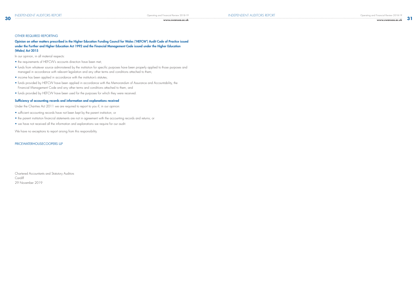### **30 www.swansea.ac.uk**

### OTHER REQUIRED REPORTING

Opinion on other matters prescribed in the Higher Education Funding Council for Wales ('HEFCW') Audit Code of Practice issued under the Further and Higher Education Act 1992 and the Financial Management Code issued under the Higher Education (Wales) Act 2015

In our opinion, in all material respects:

- the requirements of HEFCW's accounts direction have been met;
- funds from whatever source administered by the institution for specific purposes have been properly applied to those purposes and managed in accordance with relevant legislation and any other terms and conditions attached to them;
- income has been applied in accordance with the institution's statutes;
- funds provided by HEFCW have been applied in accordance with the Memorandum of Assurance and Accountability, the Financial Management Code and any other terms and conditions attached to them; and
- funds provided by HEFCW have been used for the purposes for which they were received.

### Sufficiency of accounting records and information and explanations received

Under the Charities Act 2011 we are required to report to you if, in our opinion:

- sufficient accounting records have not been kept by the parent institution; or
- the parent institution financial statements are not in agreement with the accounting records and returns; or
- we have not received all the information and explanations we require for our audit.

We have no exceptions to report arising from this responsibility.

### PRICEWATERHOUSECOOPERS LLP

Chartered Accountants and Statutory Auditors **Cardiff** 29 November 2019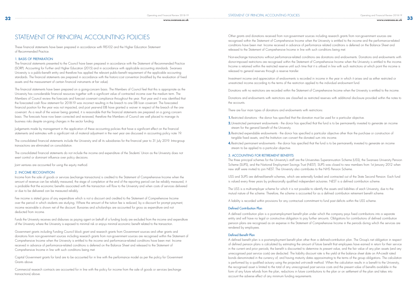These financial statements have been prepared in accordance with FRS102 and the Higher Education Statement of Recommended Practice.

### 1. BASIS OF PREPARATION

The financial statements presented to the Council have been prepared in accordance with the Statement of Recommended Practice (SORP): Accounting for Further and Higher Education (2015) and in accordance with applicable accounting standards. Swansea University is a public-benefit entity and therefore has applied the relevant public-benefit requirement of the applicable accounting standards. The financial statements are prepared in accordance with the historic-cost convention (modified by the revaluation of fixed assets and the measurement of certain financial instruments at fair value).

The financial statements have been prepared on a going-concern basis. The Members of Council feel that this is appropriate as the University has considerable financial resources together with a significant value of contracted income over the medium term. The Members of Council review the forecasts and forecast covenant compliance throughout the year. Post year end it was identified that the forecasted cash flow statement for 2018-19 was incorrect resulting in the breach to one EIB loan covenant. The forecasted financial position for the year was not impacted, and post year-end EIB have granted a waiver in respect of the breach of the one covenant. As a result of the waiver being granted, it is reasonable that the financial statements are prepared on a going concern basis. The forecasts have now been corrected and reviewed, therefore the Members of Council are well placed to manage its business risks despite on-going changes in the sector funding.

Judgements made by management in the application of these accounting policies that have a significant effect on the financial statements and estimates with a significant risk of material adjustment in the next year are discussed in accounting policy note 19.

The consolidated financial statements include the University and all its subsidiaries for the financial year to 31 July 2019. Intra-group transactions are eliminated on consolidation.

The consolidated financial statements do not include the income and expenditure of the Students' Union as the University does not exert control or dominant influence over policy decisions.

Joint ventures are accounted for using the equity method.

STATEMENT OF PRINCIPAL ACCOUNTING POLICIES Other grants and donations received from non-government sources including research grants from non-government sources are recognised within the Statement of Comprehensive Income when the University is entitled to the income and the performance-related conditions have been met. Income received in advance of performance related conditions is deferred on the Balance Sheet and released to the Statement of Comprehensive Income in line with such conditions being met.

### 2. INCOME RECOGNITION

Income from the sale of goods or services (exchange transactions) is credited to the Statement of Comprehensive Income when the amount of revenue can be reliably measured, the stage of completion at the end of the reporting period can be reliably measured, it is probable that the economic benefits associated with the transaction will flow to the University and when costs of services delivered or due to be delivered can be measured reliably.

Fee income is stated gross of any expenditure which is not a discount and credited to the Statement of Comprehensive Income over the period in which students are studying. Where the amount of the tuition fee is reduced, by a discount for prompt payment, income receivable is shown net of the discount. Bursaries and scholarships are accounted for gross as expenditure and not deducted from income.

Funds the University receives and disburses as paying agent on behalf of a funding body are excluded from the income and expenditure of the University where the University is exposed to minimal risk or enjoys minimal economic benefit related to the transaction.

Government grants including Funding Council block grant and research grants from Government sources and other grants and donations from non-government sources including research grants from non-government sources are recognised within the Statement of Comprehensive Income when the University is entitled to the income and performance-related conditions have been met. Income received in advance of performance-related conditions is deferred on the Balance Sheet and released to the Statement of Comprehensive Income in line with such conditions being met.

Capital Government grants for land are to be accounted for in line with the performance model as per the policy for Government Grants above.

Commercial research contracts are accounted for in line with the policy for income from the sale of goods or services (exchange transactions) above.

Non-exchange transactions without performance-related conditions are donations and endowments. Donations and endowments with donor-imposed restrictions are recognised within the Statement of Comprehensive Income when the University is entitled to the income. Income is retained within the restricted reserve until such time that it is utilised in line with such restrictions at which point the income is released to general reserves through a reserve transfer.

unrestricted income according to the terms of the restriction applied to the individual endowment fund.

- Investment income and appreciation of endowments is recorded in income in the year in which it arises and as either restricted or
- Donations with no restrictions are recorded within the Statement of Comprehensive Income when the University is entitled to the income.
- Donations and endowments with restrictions are classified as restricted reserves with additional disclosure provided within the notes to

the accounts.

There are four main types of donations and endowments with restrictions:

- 1. Restricted donations the donor has specified that the donation must be used for a particular objective.
- 2. Unrestricted permanent endowments the donor has specified that the fund is to be permanently invested to generate an income stream for the general benefit of the University.
- 3. Restricted expendable endowments the donor has specified a particular objective other than the purchase or construction of tangible fixed assets, and the Institution can convert the donated sum into income.
- 4. Restricted permanent endowments the donor has specified that the fund is to be permanently invested to generate an income stream to be applied to a particular objective.

### 3. ACCOUNTING FOR RETIREMENT BENEFITS

The three principal schemes for the University's staff are the Universities Superannuation Scheme (USS), the Swansea University Pension Scheme (SUPS), and the National Employment Savings Trust (NEST). SUPS was closed to new members from 1st January 2012 when new staff were invited to join NEST. The University also contributes to the NHS Pension Scheme.

- USS and SUPS are defined-benefit schemes, which are externally funded and contracted out of the State Second Pension. Each fund
	-
	-

is valued every three years by professionally qualified independent actuaries. NEST is a defined contribution scheme.

The USS is a multi-employer scheme for which it is not possible to identify the assets and liabilities of each University, due to the mutual nature of the scheme. Therefore, the scheme is accounted for as a defined contribution retirement benefit scheme.

A liability is recorded within provisions for any contractual commitment to fund past deficits within the USS scheme.

### Defined Contribution Plan

A defined contribution plan is a post-employment benefit plan under which the company pays fixed contributions into a separate entity and will have no legal or constructive obligation to pay further amounts. Obligations for contributions of defined contribution pension plans are recognised as an expense in the Statement of Comprehensive Income in the periods during which the services are rendered by employees.

### Defined Benefit Plan

A defined benefit plan is a post-employment benefit plan other than a defined-contribution plan. The Group's net obligation in respect of defined pension plans is calculated by estimating the amount of future benefit that employees have earned in return for their service in the current and prior periods; the benefit is discounted to determine its present value, and the fair value of any plan assets (and any unrecognised past service costs) are deducted. The liability discount rate is the yield at the balance sheet date on AA-credit rated bonds denominated in the currency of, and having maturity dates approximating to the terms of the group obligations. The calculation is performed by a qualified actuary using the projected unit-credit method. When the calculation results in a benefit to the University, the recognised asset is limited to the total of any unrecognised past service costs and the present value of benefits available in the form of any future refunds from the plan, reductions in future contributions to the plan or on settlement of the plan and takes into account the adverse effect of any minimum funding requirements.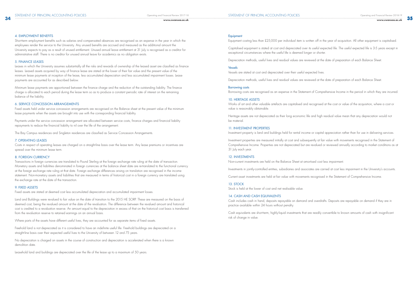**www.swansea.ac.uk**

### 4. EMPLOYMENT BENEFITS

Short-term employment benefits such as salaries and compensated absences are recognised as an expense in the year in which the employees render the service to the University. Any unused benefits are accrued and measured as the additional amount the University expects to pay as a result of unused entitlement. Unused annual leave entitlement at 31 July is recognised as a creditor for administrative staff. There is no creditor for unused annual leave for academics as no obligation exists.

### 5. FINANCE LEASES

Leases in which the University assumes substantially all the risks and rewards of ownership of the leased asset are classified as finance leases. Leased assets acquired by way of finance lease are stated at the lower of their fair value and the present value of the minimum lease payments at inception of the lease, less accumulated depreciation and less accumulated impairment losses. Lease payments are accounted for as described below.

Minimum lease payments are apportioned between the finance charge and the reduction of the outstanding liability. The finance charge is allocated to each period during the lease term so as to produce a constant periodic rate of interest on the remaining balance of the liability.

### 6. SERVICE CONCESSION ARRANGEMENTS

Fixed assets held under service concession arrangements are recognised on the Balance sheet at the present value of the minimum lease payments when the assets are brought into use with the corresponding financial liability.

Payments under the service concession arrangement are allocated between service costs, finance charges and financial liability repayments to reduce the financial liability to nil over the life of the arrangement.

The Bay Campus residences and Singleton residences are classified as Service Concession Arrangements.

### 7. OPERATING LEASES

Costs in respect of operating leases are charged on a straight-line basis over the lease term. Any lease premiums or incentives are spread over the minimum lease term.

### 8. FOREIGN CURRENCY

Transactions in foreign currencies are translated to Pound Sterling at the foreign exchange rate ruling at the date of transaction. Monetary assets and liabilities denominated in foreign currencies at the balance sheet date are re-translated to the functional currency at the foreign exchange rate ruling at that date. Foreign exchange differences arising on translation are recognised in the income statement. Non-monetary assets and liabilities that are measured in terms of historical cost in a foreign currency are translated using the exchange rate at the date of the transaction.

Comprehensive Income. Properties are not depreciated but are revalued or reviewed annually according to market conditions as at 31 July each year.

### 9. FIXED ASSETS

Fixed assets are stated at deemed cost less accumulated depreciation and accumulated impairment losses.

Land and Buildings were revalued to fair value on the date of transition to the 2015 HE SORP. These are measured on the basis of deemed cost, being the revalued amount at the date of the revaluation. The difference between the revalued amount and historical cost is credited to a revaluation reserve. An amount equal to the depreciation in excess of that on the historical cost basis is transferred from the revaluation reserve to retained earnings on an annual basis.

Where parts of the assets have different useful lives, they are accounted for as separate items of fixed assets.

Freehold land is not depreciated as it is considered to have an indefinite useful life. Freehold buildings are depreciated on a straight-line basis over their expected useful lives to the University of between 12 and 75 years.

No depreciation is charged on assets in the course of construction and depreciation is accelerated when there is a known demolition date.

Leasehold land and buildings are depreciated over the life of the lease up to a maximum of 50 years.

### **Equipment**

STATEMENT OF PRINCIPAL ACCOUNTING POLICIES

exceptional circumstances where the useful life is deemed longer or shorter.

Depreciation methods, useful lives and residual values are reviewed at the date of preparation of each Balance Sheet.

### Vessels

Vessels are stated at cost and depreciated over their useful expected lives.

### Borrowing costs

### 10. HERITAGE ASSETS

value is reasonably obtainable.

be material.

### 11. INVESTMENT PROPERTIES

- Equipment costing less than £25,000 per individual item is written off in the year of acquisition. All other equipment is capitalised.
- Capitalised eauipment is stated at cost and depreciated over its useful expected life. The useful expected life is 3-5 years except in
	-
	-
- Depreciation methods, useful lives and residual values are reviewed at the date of preparation of each Balance Sheet.
- Borrowing costs are recognised as an expense in the Statement of Comprehensive Income in the period in which they are incurred.
- Works of art and other valuable artefacts are capitalised and recognised at the cost or value of the acquisition, where a cost or
- Heritage assets are not depreciated as their long economic life and high residual value mean that any depreciation would not
- Investment property is land and buildings held for rental income or capital appreciation rather than for use in delivering services.
- Investment properties are measured initially at cost and subsequently at fair value with movements recognised in the Statement of
	-
- Investments in jointly-controlled entities, subsidiaries and associates are carried at cost less impairment in the University's accounts.
- Current asset investments are held at fair value with movements recognised in the Statement of Comprehensive Income.
- Cash includes cash in hand, deposits repayable on demand and overdrafts. Deposits are repayable on demand if they are in
- Cash equivalents are short-term, highly-liquid investments that are readily convertible to known amounts of cash with insignificant

### 12. INVESTMENTS

Non-current investments are held on the Balance Sheet at amortised cost less impairment.

### 13. STOCK

Stock is held at the lower of cost and net realisable value.

### 14. CASH AND CASH EQUIVALENTS

practice available within 24 hours without penalty.

risk of change in value.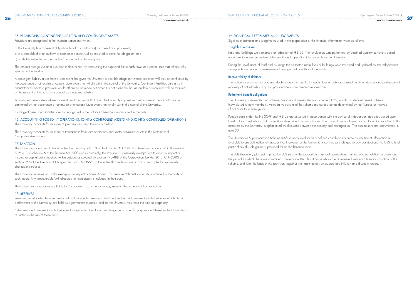### 15. PROVISIONS, CONTINGENT LIABILITIES AND CONTINGENT ASSETS

Provisions are recognised in the financial statements when:

- a) the University has a present obligation (legal or constructive) as a result of a past event;
- b) it is probable that an outflow of economic benefits will be required to settle the obligation; and
- c) a reliable estimate can be made of the amount of the obligation.

The amount recognised as a provision is determined by discounting the expected future cash flows at a pre-tax rate that reflects risks specific to the liability.

### 16. ACCOUNTING FOR JOINT OPERATIONS, JOINTLY CONTROLLED ASSETS AND JOINTLY CONTROLLED OPERATIONS The University accounts for its share of joint ventures using the equity method.

A contingent liability arises from a past event that gives the University a possible obligation whose existence will only be confirmed by the occurrence or otherwise of certain future events not wholly within the control of the University. Contingent liabilities also arise in circumstances where a provision would otherwise be made but either it is not probable that an outflow of resources will be required or the amount of the obligation cannot be measured reliably.

A contingent asset arises where an event has taken place that gives the University a possible asset whose existence will only be confirmed by the occurrence or otherwise of uncertain future events not wholly within the control of the University.

Contingent assets and liabilities are not recognised in the Balance Sheet but are disclosed in the notes.

The University accounts for its share of transactions from joint operations and jointly controlled assets in the Statement of Comprehensive Income.

### 17. TAXATION

The University is an exempt charity within the meaning of Part 3 of the Charities Act 2011. It is therefore a charity within the meaning of Para 1 of schedule 6 of the Finance Act 2010 and accordingly, the Institution is potentially exempt from taxation in respect of income or capital gains received within categories covered by section 478-488 of the Corporation Tax Act 2010 (CTA 2010) or section 256 of the Taxation of Chargeable Gains Act 1992, to the extent that such income or gains are applied to exclusively charitable purposes.

The University receives no similar exemption in respect of Value Added Tax. Irrecoverable VAT on inputs is included in the costs of such inputs. Any irrecoverable VAT allocated to fixed assets is included in their cost.

The University's subsidiaries are liable to Corporation Tax in the same way as any other commercial organisation.

### 18. RESERVES

Reserves are allocated between restricted and unrestricted reserves. Restricted endowment reserves include balances which, through endowment to the University, are held as a permanent restricted fund as the University must hold the fund to perpetuity.

Other restricted reserves include balances through which the donor has designated a specific purpose and therefore the University is restricted in the use of these funds.

### 19. SIGNIFICANT ESTIMATES AND JUDGEMENTS

Significant estimates and judgements used in the preparation of this financial information were as follows:

### Tangible Fixed Assets

Land and buildings were revalued on adoption of FRS102. The revaluation was performed by qualified quantity surveyors based upon their independent review of the estate and supporting information from the University.

During the revaluation of land and buildings the estimated useful lives of buildings were reviewed and updated by the independent surveyors based upon an assessment of the age and condition of the estate

### Recoverability of debtors

The policy for provision for bad and doubtful debts is specific for each class of debt and based on circumstances and post-year-end recovery of actual debts. Any non-provided debts are deemed recoverable.

### Retirement benefit obligations

The University operates its own scheme, Swansea University Pension Scheme (SUPS), which is a defined-benefit scheme (now closed to new members). Actuarial valuations of the scheme are carried out as determined by the Trustees at intervals of not more than three years.

Pension costs under the HE SORP and FRS102 are assessed in accordance with the advice of independent actuaries based upon latest actuarial valuations and assumptions determined by the actuaries. The assumptions are based upon information supplied to the actuaries by the University, supplemented by decisions between the actuary and management. The assumptions are documented in note 30.

The Universities Superannuation Scheme (USS) is accounted for as a defined-contribution scheme as insufficient information is available to use defined-benefit accounting. However, as the University is contractually obliged to pay contributions into USS to fund past deficits, this obligation is provided for on the balance sheet.

The deficit-recovery plan put in place by USS sets out the proportion of annual contributions that relate to past-deficit recovery, and the period for which these are committed. These committed deficit contributions are re-assessed with each triennial valuation of the scheme, and form the basis of the provision, together with assumptions on appropriate inflation and discount factors.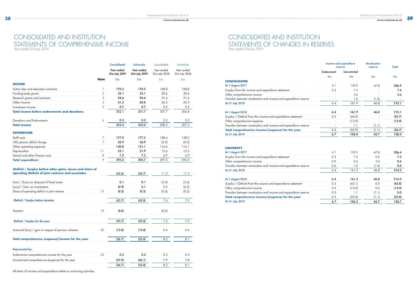|                                                                                                                     |                | <b>Consolidated</b>          | <b>University</b>            | Consolidated                 | <b>University</b>            |
|---------------------------------------------------------------------------------------------------------------------|----------------|------------------------------|------------------------------|------------------------------|------------------------------|
|                                                                                                                     |                | Year ended<br>31st July 2019 | Year ended<br>31st July 2019 | Year ended<br>31st July 2018 | Year ended<br>31st July 2018 |
|                                                                                                                     | <b>Note</b>    | £m                           | £m                           | E <sub>m</sub>               | E <sub>m</sub>               |
| <b>INCOME</b>                                                                                                       |                |                              |                              |                              |                              |
| Tuition fees and education contracts                                                                                | 1              | 170.5                        | 170.5                        | 168.8                        | 168.8                        |
| Funding body grants                                                                                                 | $\overline{2}$ | 25.1                         | 25.1                         | 20.6                         | 20.6                         |
| Research grants and contracts                                                                                       | 3              | 94.6                         | 94.6                         | 51.6                         | 51.6                         |
| Other income                                                                                                        | 4              | 61.2                         | 60.8                         | 66.2                         | 65.3                         |
| Investment income                                                                                                   | 5              | 0.7                          | 0.7                          | 0.5                          | 0.5                          |
| <b>Total income before endowments and donations</b>                                                                 |                | 352.1                        | 351.7                        | 307.7                        | 306.8                        |
| Donations and Endowments                                                                                            | 6              | 0.3                          | 0.3                          | 0.5                          | 0.5                          |
| <b>Total income</b>                                                                                                 |                | 352.4                        | 352.0                        | 308.2                        | 307.3                        |
| <b>EXPENDITURE</b>                                                                                                  |                |                              |                              |                              |                              |
| Staff costs                                                                                                         | $\overline{7}$ | 177.9                        | 177.5                        | 158.4                        | 158.0                        |
| USS pension deficit charge                                                                                          | 7              | 56.9                         | 56.9                         | (0.5)                        | (0.5)                        |
| Other operating expenses                                                                                            |                | 130.8                        | 131.1                        | 116.6                        | 116.1                        |
| Depreciation                                                                                                        | 11             | 22.1                         | 21.9                         | 15.6                         | 15.5                         |
| Interest and other finance costs                                                                                    | 8              | 7.3                          | 7.3                          | 6.9                          | 6.9                          |
| <b>Total expenditure</b>                                                                                            | 9              | 395.0                        | 394.7                        | 297.0                        | 296.0                        |
| (Deficit) / Surplus before other gains, losses and share of<br>operating (Deficit) of joint ventures and associates |                | (42.6)                       | (42.7)                       | 11.2                         | 11.3                         |
| Gain / (Loss) on disposal of fixed assets                                                                           |                | 0.1                          | 0.1                          | (3.4)                        | (3.4)                        |
| (Loss) / Gain on investments                                                                                        |                | (0.9)                        | 0.1                          | 0.2                          | (0.2)                        |
| Share of operating deficit in joint venture                                                                         | 15             | (0.3)                        | (0.3)                        | (0.4)                        | (0.2)                        |
| (Deficit) / Surplus before taxation                                                                                 |                | (43.7)                       | (42.8)                       | 7.6                          | 7.5                          |
|                                                                                                                     |                |                              |                              |                              |                              |
| Taxation                                                                                                            | 10             | (0.0)                        |                              | (0.0)                        |                              |
| (Deficit) / Surplus for the year                                                                                    |                | (43.7)                       | (42.8)                       | 7.6                          | 7.5                          |
| Actuarial (loss) / gain in respect of pension schemes                                                               | 30             | (13.0)                       | (13.0)                       | 0.6                          | 0.6                          |
| Total comprehensive (expense)/income for the year                                                                   |                | (56.7)                       | (55.8)                       | 8.2                          | 8.1                          |
| <b>Represented by:</b>                                                                                              |                |                              |                              |                              |                              |
| Endowment comprehensive income for the year                                                                         | 22             | 0.3                          | 0.3                          | 0.3                          | 0.3                          |
| Unrestricted comprehensive (expense) for the year                                                                   |                | (57.0)                       | (56.1)                       | 7.9                          | 7.8                          |
|                                                                                                                     |                | (56.7)                       | (55.8)                       | 8.2                          | 8.1                          |

# CONSOLIDATED AND INSTITUTION STATEMENTS OF COMPREHENSIVE INCOME

*Year ended 31st July 2019*

| <b>Income and expenditure</b><br>reserve |                     | <b>Revaluation</b><br>reserve | <b>Total</b> |
|------------------------------------------|---------------------|-------------------------------|--------------|
| <b>Endowment</b>                         | <b>Unrestricted</b> |                               |              |
| £m                                       | £m                  | £m                            | £m           |
| 6.1                                      | 153.0               | 47.8                          | 206.9        |
| 0.3                                      | 7.3                 |                               | 7.6          |
|                                          | 0.6                 |                               | 0.6          |
|                                          | 1.0                 | (1.0)                         |              |
| 6.4                                      | 161.9               | 46.8                          | 215.1        |
| 6.4                                      | 161.9               | 46.8                          | 215.1        |
| 0.3                                      | (44.0)              |                               | (43.7)       |
|                                          | (13.0)              |                               | (13.0)       |
|                                          | 1.1                 | (1.1)                         |              |
| 0.3                                      | (55.9)              | (1.1)                         | (56.7)       |
| 6.7                                      | 106.0               | 45.7                          | 158.4        |
|                                          |                     |                               |              |

| 6.1 | 152.5  | 47.8  | 206.4  |
|-----|--------|-------|--------|
| 0.3 | 7.2    | 0.0   | 7.5    |
| 0.0 | 0.6    | 0.0   | 0.6    |
| 0.0 | 1.0    | (1.0) | 0.0    |
| 6.4 | 161.3  | 46.8  | 214.5  |
| 6.4 | 161.3  | 46.8  | 214.5  |
| 0.3 | (43.1) | 0.0   | (42.8) |
| 0.0 | (13.0) | 0.0   | (13.0) |
| 0.0 | 1.1    | (1.1) | 0.0    |
| 0.3 | (55.0) | (1.1) | (55.8) |
| 6.7 | 106.3  | 45.7  | 158.7  |

**CONSOLIDATED**

| COLIDI CHCH3IYG CADGH3G                                          | $\overline{\phantom{a}}$ | ו שניש ו |
|------------------------------------------------------------------|--------------------------|----------|
| Iransters between revaluation and income and expenditure reserve |                          |          |
| Total comprehensive income/(expense) for the year                |                          |          |
| At 31 July 2019                                                  |                          |          |
|                                                                  |                          |          |

### **UNIVERSITY**

| lus from the income and expenditure statement                |  |  |
|--------------------------------------------------------------|--|--|
| comprehensive income                                         |  |  |
| sters between revaluation and income and expenditure reserve |  |  |
|                                                              |  |  |
|                                                              |  |  |

### At 1 August 2018 **6.4 1.4 August 2018**

| Total comprehensive income/(expense) for the year           |  |  |
|-------------------------------------------------------------|--|--|
| ters between revaluation and income and expenditure reserve |  |  |
| $\:$ ) ther comprehensive income $\:$                       |  |  |
| Deficit) from the income and expenditure statement          |  |  |

All items of income and expenditure relate to continuing activities.

CONSOLIDATED AND INSTITUTION STATEMENTS OF CHANGES IN RESERVES *Year ended 31st July 2019*

### **At 1 August 2017** Surplus from the income and expenditure statement Other comprehensive income Transfers between revaluation and income and expenditure reserve At 31 July 2018 **At 1 August 2018** Surplus / (Deficit) from the income and expenditure statement Other comprehensive expense - (13.0) - (13.0) - (13.0) - (13.0) - (13.0) - (13.0) - (13.0) - (13.0) - (13.0) - (13.0) - (13.0) - (13.0) - (13.0) - (13.0) - (13.0) - (13.0) - (13.0) - (13.0) - (13.0) - (13.0) - (13.0) - (13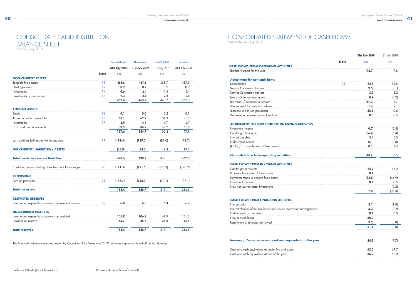|                                                         |             | <b>Consolidated</b> | <b>University</b> | Consolidated   | University     |
|---------------------------------------------------------|-------------|---------------------|-------------------|----------------|----------------|
|                                                         |             | 31st July 2019      | 31st July 2019    | 31st July 2018 | 31st July 2018 |
|                                                         | <b>Note</b> | £m                  | £m                | E <sub>m</sub> | £m             |
| <b>NON-CURRENT ASSETS</b>                               |             |                     |                   |                |                |
| Tangible fixed assets                                   | 11          | 458.6               | 457.6             | 438.7          | 437.5          |
| Heritage assets                                         | 12          | 0.9                 | 0.9               | 0.9            | 0.9            |
| Investments                                             | 14          | 0.6                 | 2.4               | 1.6            | 2.4            |
| Investments in joint venture                            | 15          | 2.3                 | 2.3               | 2.5            | 2.5            |
|                                                         |             | 462.4               | 463.2             | 443.7          | 443.3          |
| <b>CURRENT ASSETS</b>                                   |             |                     |                   |                |                |
| Stocks                                                  | 16          | 0.1                 | 0.0               | 0.2            | 0.1            |
| Trade and other receivables                             | 18          | 63.1                | 62.9              | 31.3           | 31.3           |
| Investments                                             | 17          | 4.9                 | 4.9               | 4.7            | 4.7            |
| Cash and cash equivalents                               |             | 89.5                | 86.9              | 64.2           | 61.8           |
|                                                         |             | 157.6               | 154.7             | 100.4          | 97.9           |
| Less creditors falling due within one year              | 19          | (191.4)             | (189.0)           | (81.0)         | (78.7)         |
| <b>NET CURRENT (LIABILITIES) / ASSETS</b>               |             | (33.8)              | (34.3)            | 19.4           | 19.2           |
| <b>Total assets less current liabilities</b>            |             | 428.6               | 428.9             | 463.1          | 462.5          |
| Creditors: amounts falling due after more than one year | 20          | (121.5)             | (121.5)           | (170.9)        | (170.9)        |
| <b>PROVISIONS</b>                                       |             |                     |                   |                |                |
| Pension provision                                       | 21          | (148.7)             | (148.7)           | (77.1)         | (77.1)         |
| <b>Total net assets</b>                                 |             | 158.4               | 158.7             | 215.1          | 214.5          |
| <b>RESTRICTED RESERVES</b>                              |             |                     |                   |                |                |
| Income and expenditure reserve - endowment reserve      | 22          | 6.8                 | 6.8               | 6.4            | 6.4            |
| <b>UNRESTRICTED RESERVES</b>                            |             |                     |                   |                |                |
| Income and expenditure reserve - unrestricted           |             | 105.9               | 106.2             | 161.9          | 161.3          |
| Revaluation reserve                                     |             | 45.7                | 45.7              | 46.8           | 46.8           |
| <b>Total reserves</b>                                   |             | 158.4               | 158.7             | 215.1          | 214.5          |

The financial statements were approved by Council on 25th November 2019 and were signed on its behalf on that date by:

|                                                                       |             | 31st July 2019 | 31 July 2018 |
|-----------------------------------------------------------------------|-------------|----------------|--------------|
|                                                                       | <b>Note</b> | £m             | £m           |
| <b>CASH FLOWS FROM OPERATING ACTIVITIES</b>                           |             |                |              |
| (Deficit)/surplus for the year                                        |             | (43.7)         | 7.6          |
| <b>Adjustment for non-cash items</b>                                  |             |                |              |
| Depreciation                                                          | 11          | 22.1           | 15.6         |
| Service Concession Income                                             |             | (9.5)          | (8.1)        |
| Service Concession Interest                                           |             | 3.3            | 3.2          |
| Loss / (Gain) on Investments                                          |             | 0.9            | (0.2)        |
| (Increase) / decrease in debtors                                      |             | (17.3)         | 5.7          |
| (Decrease) / Increase in creditors                                    |             | (1.4)          | 9.1          |
| Increase in pension provisions                                        |             | 58.5           | 0.6          |
| Decrease in net assets in joint venture                               |             | 0.3            | 0.5          |
| <b>ADJUSTMENT FOR INVESTING OR FINANCING ACTIVITIES</b>               |             |                |              |
| Investment income                                                     |             | (0.7)          | (0.5)        |
| Capital grant income                                                  |             | (36.4)         | (5.4)        |
| Interest payable                                                      |             | 5.4            | 5.0          |
| Endowment Income                                                      |             | (0.1)          | (0.0)        |
| (Profit) / Loss on the sale of fixed assets                           |             | (0.1)          | 3.4          |
| Net cash inflow from operating activities                             |             | (18.7)         | 36.5         |
| <b>CASH FLOWS FROM INVESTING ACTIVITIES</b>                           |             |                |              |
| Capital grant receipts                                                |             | 24.2           | 11.2         |
| Proceeds from sales of fixed assets                                   |             | 0.1            |              |
| Payments made to acquire fixed assets                                 |             | (32.8)         | (46.9)       |
| Investment income                                                     |             | 0.7            | 0.5          |
| New non-current asset investments                                     |             |                | (0.2)        |
|                                                                       |             | (7.8)          | (35.4)       |
| <b>CASH FLOWS FROM FINANCING ACTIVITES</b>                            |             |                |              |
| Interest paid                                                         |             | (2.1)          | (1.8)        |
| Interest element of finance lease and service concession arrangements |             | (3.3)          | (3.2)        |
| Endowment cash received                                               |             | 0.1            | 0.0          |
| New secured loans                                                     |             | 60.0           |              |
| Repayment of amounts borrowed                                         |             | (3.3)          | (3.8)        |
|                                                                       |             | 51.4           | (8.8)        |
|                                                                       |             |                |              |
| Increase / (Decrease) in cash and cash equivalents in the year        |             | 24.9           | (7.7)        |
| Cash and cash equivalents at beginning of the year                    |             | 62.0           | 69.7         |
| Cash and cash equivalents at end of the year                          |             | 86.9           | 62.0         |

|                                                                       |             | 31st July 2019 | 31 July 2018 |
|-----------------------------------------------------------------------|-------------|----------------|--------------|
|                                                                       | <b>Note</b> | £m             | £m           |
| <b>CASH FLOWS FROM OPERATING ACTIVITIES</b>                           |             |                |              |
| (Deficit)/surplus for the year                                        |             | (43.7)         | 7.6          |
| <b>Adjustment for non-cash items</b>                                  |             |                |              |
| Depreciation                                                          | 11          | 22.1           | 15.6         |
| Service Concession Income                                             |             | (9.5)          | (8.1)        |
| Service Concession Interest                                           |             | 3.3            | 3.2          |
| Loss / (Gain) on Investments                                          |             | 0.9            | (0.2)        |
| (Increase) / decrease in debtors                                      |             | (17.3)         | 5.7          |
| (Decrease) / Increase in creditors                                    |             | (1.4)          | 9.1          |
| Increase in pension provisions                                        |             | 58.5           | 0.6          |
| Decrease in net assets in joint venture                               |             | 0.3            | 0.5          |
| <b>ADJUSTMENT FOR INVESTING OR FINANCING ACTIVITIES</b>               |             |                |              |
| Investment income                                                     |             | (0.7)          | (0.5)        |
| Capital grant income                                                  |             | (36.4)         | (5.4)        |
| Interest payable                                                      |             | 5.4            | 5.0          |
| Endowment Income                                                      |             | (0.1)          | (0.0)        |
| (Profit) / Loss on the sale of fixed assets                           |             | (0.1)          | 3.4          |
| Net cash inflow from operating activities                             |             | (18.7)         | 36.5         |
| <b>CASH FLOWS FROM INVESTING ACTIVITIES</b>                           |             |                |              |
| Capital grant receipts                                                |             | 24.2           | 11.2         |
| Proceeds from sales of fixed assets                                   |             | 0.1            |              |
| Payments made to acquire fixed assets                                 |             | (32.8)         | (46.9)       |
| Investment income                                                     |             | 0.7            | 0.5          |
| New non-current asset investments                                     |             |                | (0.2)        |
|                                                                       |             | (7.8)          | (35.4)       |
| <b>CASH FLOWS FROM FINANCING ACTIVITES</b>                            |             |                |              |
| Interest paid                                                         |             | (2.1)          | (1.8)        |
| Interest element of finance lease and service concession arrangements |             | (3.3)          | (3.2)        |
| Endowment cash received                                               |             | 0.1            | 0.0          |
| New secured loans                                                     |             | 60.0           |              |
| Repayment of amounts borrowed                                         |             | (3.3)          | (3.8)        |
|                                                                       |             | 51.4           | (8.8)        |
|                                                                       |             |                |              |
| Increase / (Decrease) in cash and cash equivalents in the year        |             | 24.9           | (7.7)        |
| Cash and cash equivalents at beginning of the year                    |             | 62.0           | 69.7         |
| Cash and cash equivalents at end of the year                          |             | 86.9           | 62.0         |

| Capital grant receipts                |  |
|---------------------------------------|--|
| Proceeds from sales of fixed assets   |  |
| Payments made to acquire fixed assets |  |
| Investment income                     |  |
| New non-current asset investments     |  |

|                                                                       |             | 31st July 2019 | 31 July 2018 |
|-----------------------------------------------------------------------|-------------|----------------|--------------|
|                                                                       | <b>Note</b> | £m             | £m           |
| <b>CASH FLOWS FROM OPERATING ACTIVITIES</b>                           |             |                |              |
| (Deficit)/surplus for the year                                        |             | (43.7)         | 7.6          |
| <b>Adjustment for non-cash items</b>                                  |             |                |              |
| Depreciation                                                          | 11          | 22.1           | 15.6         |
| Service Concession Income                                             |             | (9.5)          | (8.1)        |
| Service Concession Interest                                           |             | 3.3            | 3.2          |
| Loss / (Gain) on Investments                                          |             | 0.9            | (0.2)        |
| (Increase) / decrease in debtors                                      |             | (17.3)         | 5.7          |
| (Decrease) / Increase in creditors                                    |             | (1.4)          | 9.1          |
| Increase in pension provisions                                        |             | 58.5           | 0.6          |
| Decrease in net assets in joint venture                               |             | 0.3            | 0.5          |
| <b>ADJUSTMENT FOR INVESTING OR FINANCING ACTIVITIES</b>               |             |                |              |
| Investment income                                                     |             | (0.7)          | (0.5)        |
| Capital grant income                                                  |             | (36.4)         | (5.4)        |
| Interest payable                                                      |             | 5.4            | 5.0          |
| Endowment Income                                                      |             | (0.1)          | (0.0)        |
| (Profit) / Loss on the sale of fixed assets                           |             | (0.1)          | 3.4          |
| Net cash inflow from operating activities                             |             | (18.7)         | 36.5         |
| <b>CASH FLOWS FROM INVESTING ACTIVITIES</b>                           |             |                |              |
| Capital grant receipts                                                |             | 24.2           | 11.2         |
| Proceeds from sales of fixed assets                                   |             | 0.1            |              |
| Payments made to acquire fixed assets                                 |             | (32.8)         | (46.9)       |
| Investment income                                                     |             | 0.7            | 0.5          |
| New non-current asset investments                                     |             |                | (0.2)        |
|                                                                       |             | (7.8)          | (35.4)       |
| <b>CASH FLOWS FROM FINANCING ACTIVITES</b>                            |             |                |              |
| Interest paid                                                         |             | (2.1)          | (1.8)        |
| Interest element of finance lease and service concession arrangements |             | (3.3)          | (3.2)        |
| Endowment cash received                                               |             | 0.1            | 0.0          |
| New secured loans                                                     |             | 60.0           |              |
| Repayment of amounts borrowed                                         |             | (3.3)          | (3.8)        |
|                                                                       |             | 51.4           | (8.8)        |
|                                                                       |             |                |              |
| Increase / (Decrease) in cash and cash equivalents in the year        |             | 24.9           | (7.7)        |
| Cash and cash equivalents at beginning of the year                    |             | 62.0           | 69.7         |
| Cash and cash equivalents at end of the year                          |             | 86.9           | 62.0         |

# CONSOLIDATED AND INSTITUTION BALANCE SHEET

*As at 31st July 2019* 

### CONSOLIDATED STATEMENT OF CASH FLOWS *Year ended 31st July 2019*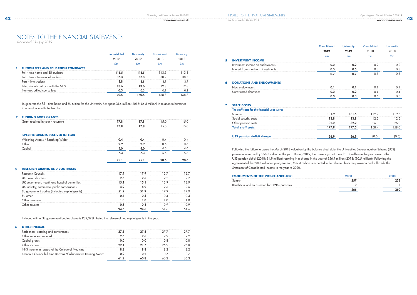**94.6** 94.6 51.6 51.6

*For the year ended 31st July 2019* 

**7** 

| <b>TUITION FEES AND EDUCATION CONTRACTS</b> |      |  |  |
|---------------------------------------------|------|--|--|
| Full - time home and EU students            | 15.5 |  |  |
| time international                          |      |  |  |
|                                             |      |  |  |
|                                             |      |  |  |
| ted course tees                             |      |  |  |
|                                             |      |  |  |

To generate the full - time home and EU tuition fee the University has spent £5.6 million (2018: £6.5 million) in relation to bursaries in accordance with the fee plan.

### **2 FUNDING BODY GRANTS**

|   | Grant received in year - recurrent              | 17.8 | 17.8 | 15.0 | 15.0 |
|---|-------------------------------------------------|------|------|------|------|
|   |                                                 | 17.8 | 17.8 | 15.0 | 15.0 |
|   | <b>SPECIFIC GRANTS RECEIVED IN YEAR</b>         |      |      |      |      |
|   | Widening Access / Reaching Wider                | 0.4  | 0.4  | 0.4  | 0.4  |
|   | Other                                           | 2.9  | 2.9  | 0.6  | 0.6  |
|   | Capital                                         | 4.0  | 4.0  | 4.6  | 4.6  |
|   |                                                 | 7.3  | 7.3  | 5.6  | 5.6  |
|   |                                                 | 25.1 | 25.1 | 20.6 | 20.6 |
| 3 | <b>RESEARCH GRANTS AND CONTRACTS</b>            |      |      |      |      |
|   | Research Councils                               | 17.9 | 17.9 | 12.7 | 12.7 |
|   | UK-based charities                              | 2.6  | 2.6  | 2.2  | 2.2  |
|   | UK government, health and hospital authorities  | 15.1 | 15.1 | 13.9 | 13.9 |
|   | UK industry, commerce, public corporations      | 4.9  | 4.9  | 2.6  | 2.6  |
|   | EU government bodies (including capital grants) | 51.9 | 51.9 | 17.9 | 17.9 |
|   | EU other                                        | 0.4  | 0.4  | 0.4  | 0.4  |
|   | Other overseas                                  | 1.0  | 1.0  | 1.0  | 1.0  |
|   | Other sources                                   | 0.8  | 0.8  | 0.9  | 0.9  |

Included within EU government bodies above is £32,393k, being the release of two capital grants in the year.

### **4 OTHER INCOME**

|   |                                              | <b>Consolidated</b><br>2019 | <b>University</b><br>2019 | Consolidated<br>2018 | <b>University</b><br>2018 |
|---|----------------------------------------------|-----------------------------|---------------------------|----------------------|---------------------------|
|   |                                              | £m                          | £m                        | E <sub>m</sub>       | E <sub>m</sub>            |
| 5 | <b>INVESTMENT INCOME</b>                     |                             |                           |                      |                           |
|   | Investment income on endowments              | 0.2                         | 0.2                       | 0.2                  | 0.2                       |
|   | Interest from short-term investments         | 0.5                         | 0.5                       | 0.3                  | 0.3                       |
|   |                                              | 0.7                         | 0.7                       | 0.5                  | 0.5                       |
| 6 | <b>DONATIONS AND ENDOWMENTS</b>              |                             |                           |                      |                           |
|   | New endowments                               | 0.1                         | 0.1                       | 0.1                  | 0.1                       |
|   | Unrestricted donations                       | 0.2                         | 0.2                       | 0.4                  | 0.4                       |
|   |                                              | 0.3                         | 0.3                       | 0.5                  | 0.5                       |
| 7 | <b>STAFF COSTS</b>                           |                             |                           |                      |                           |
|   | The staff costs for the financial year were: |                             |                           |                      |                           |
|   | Salaries                                     | 131.9                       | 131.5                     | 119.9                | 119.5                     |
|   | Social security costs                        | 13.8                        | 13.8                      | 12.5                 | 12.5                      |
|   | Other pension costs                          | 32.2                        | 32.2                      | 26.0                 | 26.0                      |
|   | <b>Total staff costs</b>                     | 177.9                       | 177.5                     | 158.4                | 158.0                     |
|   | <b>USS pension deficit charge</b>            | 56.9                        | 56.9                      | (0.5)                | (0.5)                     |

|   | Investment income on endowments              |
|---|----------------------------------------------|
|   | Interest from short-term investments         |
| 6 | <b>DONATIONS AND ENDOWMENTS</b>              |
|   | New endowments                               |
|   | Unrestricted donations                       |
| 7 | <b>STAFF COSTS</b>                           |
|   | The staff costs for the financial year were: |
|   | Salaries                                     |
|   |                                              |

Following the failure to agree the March 2018 valuation by the balance sheet date, the Universities Superannuation Scheme (USS) provision increased by £58.3 million in the year. During 2019, the University contributed £1.4 million in the year towards the USS pension deficit (2018: £1.9 million) resulting in a charge in the year of £56.9 million (2018: (£0.5 million)). Following the agreement of the 2018 valuation post year end, £39.3 million is expected to be released from the provision and will credit the Statement of Consolidated Income in the year to 2020.

| Salary                                         |
|------------------------------------------------|
| Benefits in kind as assessed for HMRC purposes |



# NOTES TO THE FINANCIAL STATEMENTS

*Year ended 31st July 2019*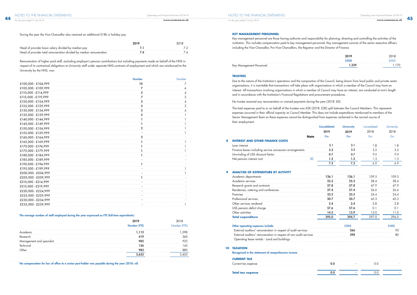*For the year ended 31st July 2019* 

*For the year ended 31 July 2019*

| Head of provider basic salary divided by median pay                |  |
|--------------------------------------------------------------------|--|
| Head of provider total remuneration divided by median remuneration |  |

Remuneration of higher paid staff, excluding employer's pension contributions but including payments made on behalf of the NHS in respect of its contractual obligations to University staff under separate NHS contracts of employment and which are reimbursed to the University by the NHS, was:

|                     | <b>Number</b>  | <b>Number</b> |
|---------------------|----------------|---------------|
| £100,000 - £104,999 | 10             | $\prime$      |
| £105,000 - £109,999 | 7              | 6             |
| £110,000 - £114,999 | 5              | 4             |
| £115,000 - £119,999 | 7              | 2             |
| £120,000 - £124,999 | 3              | 4             |
| £125,000 - £129,999 | 3              | 2             |
| £130,000 - £134,999 | $\overline{2}$ | 4             |
| £135,000 - £139,999 | $\mathbf 2$    |               |
| £140,000 - £144,999 | ı              |               |
| £145,000 - £149,999 |                |               |
| £150,000 - £154,999 | 2              |               |
| £155,000 - £159,999 |                |               |
| £160,000 - £164,999 | 2              |               |
| £165,000 - £169,999 |                |               |
| £170,000 - £174,999 |                |               |
| £175,000 - £179,999 |                |               |
| £180,000 - £184,999 |                |               |
| £185,000 - £189,999 |                |               |
| £190,000 - £194,999 |                |               |
| £195,000 - £199,999 |                |               |
| £200,000 - £204,999 |                |               |
| £205,000 - £209,999 |                |               |
| £210,000 - £214,999 |                |               |
| £215,000 - £219,999 |                |               |
| £220,000 - £224,999 |                |               |
| £225,000 - £229,999 |                |               |
| £230,000 - £234,999 |                |               |
| £235,000 - £239,999 |                |               |
|                     |                |               |

### The average number of staff employed during the year expressed as FTE (full-time equivalents):

No compensation for loss of office to a senior post-holder was payable during the year (2018: nil)

Due to the nature of the Institution's operations and the composition of the Council, being drawn from local public and private sector organisations, it is inevitable that transactions will take place with organisations in which a member of the Council may have an interest. All transactions involving organisations in which a member of Council may have an interest, are conducted at arm's length and in accordance with the Institution's Financial Regulations and procurement procedures.

|    |                                                                  | <b>Consolidated</b> | <b>University</b> | Consolidated  | University     |
|----|------------------------------------------------------------------|---------------------|-------------------|---------------|----------------|
|    |                                                                  | 2019                | 2019              | 2018          | 2018           |
|    | <b>Note</b>                                                      | £m                  | £m                | £m            | E <sub>m</sub> |
| 8  | <b>INTEREST AND OTHER FINANCE COSTS</b>                          |                     |                   |               |                |
|    | Loan interest                                                    | 2.1                 | 2.1               | 1.8           | 1.8            |
|    | Finance leases including service concession arrangements         | 3.3                 | 3.3               | 3.2           | 3.2            |
|    | Unwinding of USS discount factor                                 | 0.7                 | 0.7               | 0.6           | 0.6            |
|    | Net pension interest cost                                        | 30<br>1.2           | 1.2               | 1.3           | 1.3            |
|    |                                                                  | 7.3                 | 7.3               | 6.9           | 6.9            |
| 9  | <b>ANALYSIS OF EXPENDITURE BY ACTIVITY</b>                       |                     |                   |               |                |
|    | Academic departments                                             | 126.1               | 126.1             | 109.5         | 109.5          |
|    | Academic services                                                | 25.3                | 25.3              | 28.4          | 28.4           |
|    | Research grants and contracts                                    | 57.8                | 57.8              | 47.9          | 47.9           |
|    | Residences, catering and conferences                             | 27.4                | 27.4              | 26.6          | 26.6           |
|    | Premises                                                         | 33.5                | 33.5              | 24.4          | 24.4           |
|    | Professional services                                            | 50.7                | 50.7              | 45.3          | 45.3           |
|    | Other services rendered                                          | 2.4                 | 2.4               | 2.8           | 2.8            |
|    | USS pension deficit charge                                       | 57.6                | 57.6              | 0.1           | 0.1            |
|    | Other activities                                                 | 14.2                | 13.9              | 12.0          | 11.0           |
|    | <b>Total expenditure</b>                                         | 395.0               | 394.7             | 297.0         | 296.0          |
|    | Other operating expenses include:                                |                     | £000              |               | £000           |
|    | External auditors' remuneration in respect of audit services     |                     | 266               |               | 93             |
|    | External auditors' remuneration in respect of non-audit services |                     | 398               |               | 80             |
|    | Operating lease rentals - Land and buildings                     |                     |                   |               |                |
| 10 | <b>TAXATION</b>                                                  |                     |                   |               |                |
|    | Recognised in the statement of comprehensive income              |                     |                   |               |                |
|    | <b>CURRENT TAX</b>                                               |                     |                   |               |                |
|    | Current tax expense                                              | 0.0                 |                   | 0.0           |                |
|    | Total tay expense                                                | 0 <sub>0</sub>      |                   | $\cap$ $\cap$ |                |

|                                                                  |             | <b>Consolidated</b> | <b>University</b> | Consolidated   | <b>University</b> |
|------------------------------------------------------------------|-------------|---------------------|-------------------|----------------|-------------------|
|                                                                  |             | 2019                | 2019              | 2018           | 2018              |
|                                                                  | <b>Note</b> | £m                  | £m                | E <sub>m</sub> | £m                |
| <b>INTEREST AND OTHER FINANCE COSTS</b>                          |             |                     |                   |                |                   |
| Loan interest                                                    |             | 2.1                 | 2.1               | 1.8            | 1.8               |
| Finance leases including service concession arrangements         |             | 3.3                 | 3.3               | 3.2            | 3.2               |
| Unwinding of USS discount factor                                 |             | 0.7                 | 0.7               | 0.6            | 0.6               |
| Net pension interest cost                                        | 30          | 1.2                 | 1.2               | 1.3            | 1.3               |
|                                                                  |             | 7.3                 | 7.3               | 6.9            | 6.9               |
| <b>ANALYSIS OF EXPENDITURE BY ACTIVITY</b>                       |             |                     |                   |                |                   |
| Academic departments                                             |             | 126.1               | 126.1             | 109.5          | 109.5             |
| Academic services                                                |             | 25.3                | 25.3              | 28.4           | 28.4              |
| Research grants and contracts                                    |             | 57.8                | 57.8              | 47.9           | 47.9              |
| Residences, catering and conferences                             |             | 27.4                | 27.4              | 26.6           | 26.6              |
| Premises                                                         |             | 33.5                | 33.5              | 24.4           | 24.4              |
| Professional services                                            |             | 50.7                | 50.7              | 45.3           | 45.3              |
| Other services rendered                                          |             | 2.4                 | 2.4               | 2.8            | 2.8               |
| USS pension deficit charge                                       |             | 57.6                | 57.6              | 0.1            | 0.1               |
| Other activities                                                 |             | 14.2                | 13.9              | 12.0           | 11.0              |
| <b>Total expenditure</b>                                         |             | 395.0               | 394.7             | 297.0          | 296.0             |
| Other operating expenses include:                                |             |                     | £000              |                | £000              |
| External auditors' remuneration in respect of audit services     |             |                     | 266               |                | 93                |
| External auditors' remuneration in respect of non-audit services |             |                     | 398               |                | 80                |
| Operating lease rentals - Land and buildings                     |             |                     |                   |                |                   |
| <b><i>TAXATION</i></b>                                           |             |                     |                   |                |                   |
| Recognised in the statement of comprehensive income              |             |                     |                   |                |                   |
| <b>CURRENT TAX</b>                                               |             |                     |                   |                |                   |
| Current tax expense                                              |             | 0.0                 |                   | 0.0            |                   |
| Total tay aynanca                                                |             | $\Omega$            |                   | $\cap$ $\cap$  |                   |

### **10**

|                                                                  | <b>Consolidated</b> | <b>University</b> | Consolidated  | <b>University</b> |
|------------------------------------------------------------------|---------------------|-------------------|---------------|-------------------|
|                                                                  | 2019                | 2019              | 2018          | 2018              |
| <b>Note</b>                                                      | £m                  | £m                | £m            | £m                |
| <b>INTEREST AND OTHER FINANCE COSTS</b>                          |                     |                   |               |                   |
| Loan interest                                                    | 2.1                 | 2.1               | 1.8           | 1.8               |
| Finance leases including service concession arrangements         | 3.3                 | 3.3               | 3.2           | 3.2               |
| Unwinding of USS discount factor                                 | 0.7                 | 0.7               | 0.6           | 0.6               |
| Net pension interest cost                                        | 30<br>1.2           | 1.2               | 1.3           | 1.3               |
|                                                                  | 7.3                 | 7.3               | 6.9           | 6.9               |
| <b>ANALYSIS OF EXPENDITURE BY ACTIVITY</b>                       |                     |                   |               |                   |
| Academic departments                                             | 126.1               | 126.1             | 109.5         | 109.5             |
| Academic services                                                | 25.3                | 25.3              | 28.4          | 28.4              |
| Research grants and contracts                                    | 57.8                | 57.8              | 47.9          | 47.9              |
| Residences, catering and conferences                             | 27.4                | 27.4              | 26.6          | 26.6              |
| Premises                                                         | 33.5                | 33.5              | 24.4          | 24.4              |
| Professional services                                            | 50.7                | 50.7              | 45.3          | 45.3              |
| Other services rendered                                          | 2.4                 | 2.4               | 2.8           | 2.8               |
| USS pension deficit charge                                       | 57.6                | 57.6              | 0.1           | 0.1               |
| Other activities                                                 | 14.2                | 13.9              | 12.0          | 11.0              |
| <b>Total expenditure</b>                                         | 395.0               | 394.7             | 297.0         | 296.0             |
| Other operating expenses include:                                |                     | £000              |               | £000              |
| External auditors' remuneration in respect of audit services     |                     | 266               |               | 93                |
| External auditors' remuneration in respect of non-audit services |                     | 398               |               | 80                |
| Operating lease rentals - Land and buildings                     |                     |                   |               |                   |
| <b>TAXATION</b>                                                  |                     |                   |               |                   |
| Recognised in the statement of comprehensive income              |                     |                   |               |                   |
| <b>CURRENT TAX</b>                                               |                     |                   |               |                   |
| Current tax expense                                              | 0.0                 |                   | 0.0           |                   |
| Total tax oxnonco                                                | $\Omega$            |                   | $\cap$ $\cap$ |                   |

**Total tax expense** 0.0

### **KEY MANAGEMENT PERSONNEL**

Key management personnel are those having authority and responsibility for planning, directing and controlling the activities of the institution. This includes compensation paid to key management personnel. Key management consists of the senior executive officers including the Vice-Chancellor, Pro-Vice-Chancellors, the Registrar and the Director of Finance.

Key Management Personnel

| 2019  | 2018        |
|-------|-------------|
| £000  | <b>FOOO</b> |
| 1,259 | 1 170       |

### **TRUSTEES**

No trustee received any remuneration or waived payments during the year (2018: £0).

The total expenses paid to or on behalf of the trustees was £5K (2018: £2K) split between the Council Members. This represents expenses occurred in their official capacity as Council Member. This does not include expenditure reimbursed to members of the Senior Management Team as these expenses cannot be distinguished from expenses reclaimed in the normal course of their employment.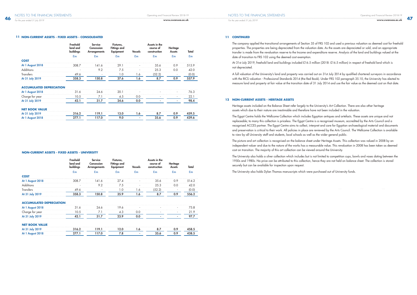### **11 NON-CURRENT ASSETS - FIXED ASSETS - CONSOLIDATED**

|                                 | Freehold<br>land and<br>buildings | <b>Service</b><br>Concession<br><b>Arrangements</b> | Fixtures,<br><b>Fittings and</b><br><b>Equipment</b> | <b>Vessels</b> | Assets in the<br>course of<br>construction | Heritage<br><b>Assets</b> | Total          |
|---------------------------------|-----------------------------------|-----------------------------------------------------|------------------------------------------------------|----------------|--------------------------------------------|---------------------------|----------------|
|                                 | $E_{\rm m}$                       | £m                                                  | £m                                                   | £m             | £m                                         | £m                        | E <sub>m</sub> |
| <b>COST</b>                     |                                   |                                                     |                                                      |                |                                            |                           |                |
| At 1 August 2018                | 308.7                             | 141.6                                               | 29.1                                                 |                | 35.6                                       | 0.9                       | 515.9          |
| <b>Additions</b>                |                                   | 9.2                                                 | 7.5                                                  |                | 25.3                                       | 0.0                       | 42.0           |
| <b>Transfers</b>                | 49.6                              |                                                     | 1.0                                                  | 1.6            | (52.2)                                     |                           | (0.0)          |
| At 31 July 2019                 | 358.3                             | 150.8                                               | 37.6                                                 | 1.6            | 8.7                                        | 0.9                       | 557.9          |
| <b>ACCUMULATED DEPRECIATION</b> |                                   |                                                     |                                                      |                |                                            |                           |                |
| At 1 August 2018                | 31.6                              | 24.6                                                | 20.1                                                 |                |                                            | $\overline{\phantom{a}}$  | 76.3           |
| Charge for year                 | 10.5                              | 7.1                                                 | 4.5                                                  | 0.0            |                                            | $\overline{\phantom{a}}$  | 22.1           |
| At 31 July 2019                 | 42.1                              | 31.7                                                | 24.6                                                 | 0.0            |                                            | $\overline{\phantom{a}}$  | 98.4           |
| <b>NET BOOK VALUE</b>           |                                   |                                                     |                                                      |                |                                            |                           |                |
| At 31 July 2019                 | 316.2                             | 119.1                                               | 13.0                                                 | 1.6            | 8.7                                        | 0.9                       | 459.5          |
| At 1 August 2018                | 277.1                             | 117.0                                               | 9.0                                                  | ٠              | 35.6                                       | 0.9                       | 439.6          |

### **11 CONTINUED**

The company applied the transitional arrangements of Section 35 of FRS 102 and used a previous valuation as deemed cost for freehold properties. The properties are being depreciated from the valuation date. As the assets are depreciated or sold, and an appropriate transfer is made from the revaluation reserve to the Income and expenditure reserve. Analysis of the land and buildings valued at the date of transition to FRS 102 using the deemed cost exemption.

At 31st July 2019, freehold land and buildings included £16.5 million (2018: £16.5 million) in respect of freehold land which is not depreciated.

A full valuation of the University's land and property was carried out on 31st July 2014 by qualified chartered surveyors in accordance with the RICS valuation - Professional Standards 2014 (the Red Book). Under FRS 102 paragraph 35.10, the University has elected to measure land and property at fair value at the transition date of 31 July 2014 and use the fair value as the deemed cost on that date.

### **12 NON-CURRENT ASSETS - HERITAGE ASSETS**

Heritage assets included on the Balance Sheet refer largely to the University's Art Collection. There are also other heritage assets which due to their nature are inestimable and therefore have not been included in the valuation.

The Egypt Centre holds the Wellcome Collection which includes Egyptian antiques and artefacts. These assets are unique and not replaceable; to many this collection is priceless. The Egypt Centre is a recognised museum, accredited by the Arts Council and a recognised ACCES partner. The Egypt Centre aims to collect, interpret and care for Egyptian archaeological material and documents and preservation is critical to their work. All policies in place are reviewed by the Arts Council. The Wellcome Collection is available to view by all University staff and students, local schools as well as the wider general public.

The picture and art collection is recognised on the balance sheet under Heritage Assets. This collection was valued in 2008 by an independent valuer and due to the nature of the works has a measurable value. This revaluation in 2008 has been taken as deemed cost on transition. The majority of this art collection can be viewed around the University.

The University also holds a silver collection which includes but is not limited to competition cups, bowls and vases dating between the 1950s and 1980s. No price can be attributed to this collection, hence they are not held on balance sheet. The collection is stored securely but can be available for inspection upon request.

The University also holds Dylan Thomas manuscripts which were purchased out of University funds.

### **NON-CURRENT ASSETS - FIXED ASSETS - UNIVERSITY**

|            |  | Hxtures. |      | the<br>se or | оае |  |
|------------|--|----------|------|--------------|-----|--|
|            |  |          |      |              |     |  |
| <b>COS</b> |  |          |      |              |     |  |
| At 1 Augu  |  |          |      |              |     |  |
|            |  |          |      |              |     |  |
|            |  |          | I .O |              |     |  |
| At 3       |  |          |      |              |     |  |
|            |  |          |      |              |     |  |

### **ACCUMULATED DEPRECIATION**

| <b>BEREERS &amp; REAR</b><br>under 2018 |  |  |  | .<br>. |
|-----------------------------------------|--|--|--|--------|
| or year                                 |  |  |  |        |
|                                         |  |  |  |        |

### **NET BOOK VALUE**

| At 31 July 2019     |  |  |  |  |
|---------------------|--|--|--|--|
| August 2018<br>At 1 |  |  |  |  |

*For the year ended 31 July 2019*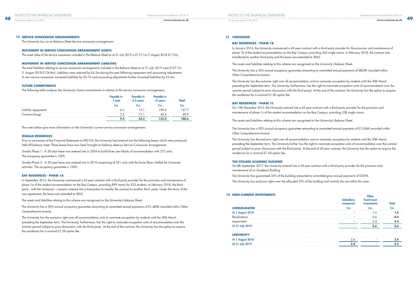

### **13 SERVICE CONCESSION ARRANGEMENTS**

The University has six on-Balance Sheet Service concession arrangements.

### **MOVEMENT IN SERVICE CONCESSION ARRANGEMENT ASSETS**

The asset value of the service concession included in the Balance Sheet as at 31 July 2019 is £119.1m (1 August 2018 £117m).

### **MOVEMENT IN SERVICE CONCESSION ARRANGEMENT LIABILITIES**

The total liabilities relating to service concession arrangements included in the Balance Sheet as at 31 July 2019 were £127.7m (1 August 2018 £124.8m). Liabilities were reduced by £6.2m during the year following repayment and accounting adjustments. A new service concession increased liabilities by £5.7m and accounting adjustments further increased liabilities by £3.4m.

### **FUTURE COMMITMENTS**

The following table analyses the University's future commitments in relation to the service concession arrangements.

| year | le in<br>vears | <b>vears</b> |  |
|------|----------------|--------------|--|
|      |                |              |  |
|      |                |              |  |
|      |                |              |  |
|      |                |              |  |
|      |                |              |  |

The notes below give more information on the University's current service concession arrangements:

### **GWALIA RESIDENCES**

Prior to conversion of the Financial Statements to FRS102, the University had entered into the following leases which were previously held off-balance sheet. These leases have now been brought on-balance sheet as Service Concession Arrangements.

Gwalia Phase 1 - A 30-year lease was entered into in 2004 to build three new blocks of accommodation with 272 units. The occupancy guarantee is 100%.

Gwalia Phase 2 - A 30-year lease was entered into in 2010 comprising of 351 units with the lower floors shelled for University activities. The occupancy guarantee is 100%.

### **BAY RESIDENCES - PHASE 1A**

In September 2015, the University commenced a 45-year contract with a third-party provider for the provision and maintenance of phase 1a of the student accommodation on the Bay Campus, providing 899 rooms for 923 students. In February 2018, the third party , with the University' s consent, entered into a transaction to transfer the contract to another third- party. Under the terms of the new agreement, the lease was extended to 2062.

The assets and liabilities relating to this scheme are recognised on the University's Balance Sheet.

The University has a 50% annual occupancy guarantee amounting to committed annual payments of £1,485K recorded within Other Comprehensive Income.

The University has the exclusive right over all accommodation units to nominate occupation by students until the 30th March preceding the September term. The University, furthermore, has the right to nominate occupation units of accommodation over the summer period (subject to prior discussions with the third party). At the end of the contract, the University has the option to acquire the residences for a nominal £1.00 option fee.

### **13 CONTINUED**

### **BAY RESIDENCES - PHASE 1B**

In January 2016, the University commenced a 45-year contract with a third-party provider for the provision and maintenance of phase 1b of the student accommodation on the Bay Campus, providing 545 single rooms. In February 2018, the contract was transferred to another third party and the lease was extended to 2062.

The assets and liabilities relating to this scheme are recognised on the University's Balance Sheet.

The University has a 50% annual occupancy guarantee amounting to committed annual payments of £823K recorded within Other Comprehensive Income.

The University has the exclusive right over all accommodation units to nominate occupation by students until the 30th March preceding the September term. The University, furthermore, has the right to nominate occupation units of accommodation over the summer period (subject to prior discussions with the third party). At the end of the contract, the University has the option to acquire the residences for a nominal £1.00 option fee.

### **BAY RESIDENCES - PHASE 1C**

On 15th December 2015, the University entered into a 45-year contract with a third-party provider for the provision and maintenance of phase 1c of the student accommodation on the Bay Campus, providing 538 single rooms.

The assets and liabilities relating to this scheme are recognised on the University's Balance Sheet.

The University has a 50% annual occupancy guarantee amounting to committed annual payments of £1,056K recorded within Other Comprehensive Income.

The University has the exclusive right over all accommodation units to nominate occupation by students until the 30th March preceding the September term. The University further has the right to nominate occupation units of accommodation over the summer period (subject to prior discussions with the third party). At the end of 45-year contract, the University has the option to acquire the residences for a nominal £1.00 option fee.

### **THE COLLEGE ACADEMIC BUILDING**

On 8th September 2017, the University entered into a 20 year contract with a third-party provider for the provision and maintenance of an Academic Building.

The University has guaranteed 35% of the building amounted to committed gross annual payments of £357K. The University has exclusive rights over the allocated 35% of the building and controls the use within this area.

| <b>14 NON-CURRENT INVESTMENTS</b> |  |  |
|-----------------------------------|--|--|
| <b>CONSOLIDATED</b>               |  |  |
|                                   |  |  |
|                                   |  |  |
|                                   |  |  |
|                                   |  |  |
| <b>UNIVERSIT</b>                  |  |  |
|                                   |  |  |
|                                   |  |  |
|                                   |  |  |

*For the year ended 31 July 2019*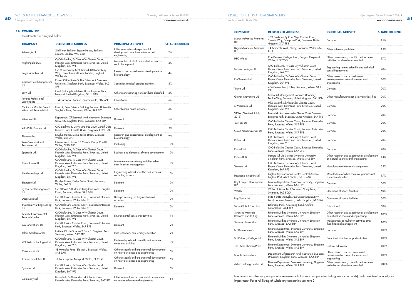### **14 CONTINUED**

Investments are analysed below:

| <b>COMPANY</b>                                    | <b>REGISTERED ADDRESS</b>                                                                                     | <b>PRINCIPAL ACTIVITY</b>                                                             | <b>SHAREHOLDING</b> |
|---------------------------------------------------|---------------------------------------------------------------------------------------------------------------|---------------------------------------------------------------------------------------|---------------------|
| Altenergis plc                                    | 2nd Floor Berkeley Square House, Berkeley<br>Square, London, W1J 6BD                                          | Other research and experimental<br>development on natural sciences and<br>engineering | 2%                  |
| Nightingale-EOS                                   | C/O Baldwins, Ty Caer Wyr Charter Court,<br>Phoenix Way, Enterprise Park, Swansea, United<br>Kingdom, SA7 9FS | Manufacture of electronic industrial process<br>control equipment                     | 2%                  |
| Polypharmakos Ltd                                 | C/O Greenaway Scott Limited 40 Bloomsbury<br>Way, Lower Ground Floor, London, England,<br>WC1A 2SE            | Research and experimental development on<br>biotechnology                             | 4%                  |
| Cardiac Health Diagnostics<br>Ltd                 | Room 508 Institute Of Life Sciences 2 Swansea<br>University, Singleton Park, Swansea, Wales, SA2<br>8PP       | Specialists medical practice activities                                               | 5%                  |
| <b>BIPV Ltd</b>                                   | Gcell Building South Lake Drive, Imperial Park,<br>Newport, United Kingdom, NP10 8AS                          | Other manufacturing not elsewhere classified                                          | 5%                  |
| latrotec Professional<br>Learning Ltd             | 104 Harewood Avenue, Bournemouth, BH7 6NS                                                                     | Educational                                                                           | 5%                  |
| Centre for Mindful Based<br>Work and Research Ltd | Floor 2, Data Science Building Swansea University,<br>Singleton Park, Swansea, Wales, SA2 8PP                 | Other human health activities                                                         | 5%                  |
| Wowdeals Ltd                                      | Department Of Research And Innovation Swansea<br>University, Singleton Park, Swansea, SA2 8PP                 | Dormant                                                                               | 5%                  |
| AANDSA Pharma Ltd                                 | C/O Baldwins Ty Derw, Lime Tree Court, Cardiff Gate<br>Business Park, Cardiff, United Kingdom, CF23 8AB       | Dormant                                                                               | 5%                  |
| Bionema Ltd                                       | Druslyn House, De La Beche Street, Swansea,<br>Wales, SA1 3HJ                                                 | Research and experimental development on<br>biotechnology                             | 7%                  |
| Zeta Computational<br>Resources Ltd               | International House, 10 Churchill Way, Cardiff,<br>Wales, CF10 2HE                                            | Publishing                                                                            | 10%                 |
| Sportsviz Ltd                                     | C/O Baldwins, Ty Caer Wyr Charter Court,<br>Phoenix Way, Enterprise Park, Swansea, United<br>Kingdom, SA7 9FS | Business and domestic software development                                            | 10%                 |
| China Centre Ltd                                  | C/O Baldwins, Ty Caer Wyr Charter Court,<br>Phoenix Way, Enterprise Park, Swansea, United<br>Kingdom, SA7 9FS | Management consultancy activities other<br>than financial management                  | 10%                 |
| Membranology Ltd                                  | C/O Baldwins, Ty Caer Wyr Charter Court,<br>Phoenix Way, Enterprise Park, Swansea, United<br>Kingdom, SA7 9FS | Engineering related scientific and technical<br>consulting activities                 | 10%                 |
| Biopesco Ltd                                      | Druslyn House, De La Beche Street, Swansea,<br>Wales, SA1 3HJ                                                 | Dormant                                                                               | 10%                 |
| Rynda Health Diagnostics<br>Ltd                   | C/O Bevan & Buckland Langdon House, Langdon<br>Road, Swansea, Wales, SA1 8QY                                  | Dormant                                                                               | 10%                 |
| Deep Data Ltd                                     | C/O Baldwins Charter Court. Swansea Enterprise<br>Park, Swansea, Wales, SA7 9FS                               | Data processing, hosting and related<br>activities                                    | 10%                 |
| Swansea Print Engineering<br>Ltd                  | C/O Baldwins Charter Court, Swansea Enterprise<br>Park, Swansea, Wales, SA7 9FS                               | Dormant                                                                               | 10%                 |
| Aquatic Environmental<br>Research Limited         | C/O Baldwins, Ty Caer Wyr Charter Court,<br>Phoenix Way, Enterprise Park, Swansea, United<br>Kingdom, SA7 9FS | Environmental consulting activities                                                   | 11%                 |
| Bay Innovations Ltd                               | C/O Baldwins Charter Court, Swansea Enterprise<br>Park, Swansea, Wales, SA7 9FS                               | Dormant                                                                               | 12%                 |
| Talent Accelerator Ltd                            | Institute Of Life Science 2 Floor 1, Singleton Park,<br>Swansea, Wales, SA2 8PP                               | Post-secondary non-tertiary education                                                 | 12%                 |
| Wildbyte Technologies Ltd                         | C/O Baldwins, Ty Caer Wyr Charter Court,<br>Phoenix Way, Enterprise Park, Swansea, United<br>Kingdom, SA7 9FS | Engineering related scientific and technical<br>consulting activities                 | 13%                 |
| Moleculomics Itd                                  | 48 Mumbles Road, Blackpill, Swansea, Wales,<br>SA3 5AU                                                        | Other research and experimental development<br>on natural sciences and engineering    | 15%                 |
| Trauma Simulation Ltd                             | 11 Park Square, Newport, Wales, NP20 4EL                                                                      | Other research and experimental development<br>on natural sciences and engineering    | 15%                 |
| Syncura Ltd                                       | C/O Baldwins, Ty Caer Wyr Charter Court,<br>Phoenix Way, Enterprise Park, Swansea, United<br>Kingdom, SA7 9FS | Dormant                                                                               | 15%                 |
| Cellometry Ltd                                    | Broomfield & Alexander Ltd, Charter Court<br>Phoenix Way, Enterprise Park, Swansea, SA7 9FS                   | Other research and experimental development<br>on natural sciences and engineering    | 15%                 |

| <b>COMPANY</b>                            | <b>REGISTERED ADDRESS</b>                                                                                     | <b>PRINCIPAL ACTIVITY</b>                                                              | <b>SHAREHOLDING</b> |
|-------------------------------------------|---------------------------------------------------------------------------------------------------------------|----------------------------------------------------------------------------------------|---------------------|
| Murex Advanced Materials<br>Ltd           | C/O Baldwins, Ty Caer Wyr Charter Court,<br>Phoenix Way, Enterprise Park, Swansea, United<br>Kingdom, SA7 9FS | Dormant                                                                                | 15%                 |
| Digital Academic Solutions<br>Ltd         | 14 Admirals Walk, Sketty, Swansea, Wales, SA2<br>8LQ                                                          | Other software publishing                                                              | 15%                 |
| <b>HPC Wales</b>                          | Cae Derwen, College Road, Bangor, Gwynedd,<br>Wales, LL57 2DG                                                 | Other professional, scientific and technical<br>activities not elsewhere classified    | 17%                 |
| Semitechnologies Ltd                      | C/O Baldwins, Ty Caer Wyr Charter Court,<br>Phoenix Way, Enterprise Park, Swansea, United<br>Kingdom, SA7 9FS | Engineering related scientific and technical<br>consulting activities                  | 20%                 |
| ProGnomics Ltd                            | C/O Baldwins, Ty Caer Wyr Charter Court,<br>Phoenix Way, Enterprise Park, Swansea, United<br>Kingdom, SA7 9FS | Other research and experimental<br>development on natural sciences and<br>engineering  | 20%                 |
| Teclyn Ltd                                | 456 Gower Road, Killay, Swansea, Wales, SA2<br>7AL                                                            | Dormant                                                                                | 20%                 |
| Gower Innovations Ltd                     | School Of Management Swansea University,<br>Fabian Way, Swansea, United Kingdom, SA1 8EN                      | Other manufacturing not elsewhere classified                                           | 20%                 |
| SPMicrotech Ltd                           | Mha Broomfield Alexander Charter Court,<br>Phoenix Way, Enterprise Park, Swansea, United<br>Kingdom, SA7 9FS  | Dormant                                                                                | 20%                 |
| VRTax (Dissolved 2 July<br>2019)          | Broomfield And Alexander Charter Court, Swansea<br>Enterprise Park, Swansea, United Kingdom, SA7 9FS          | Dormant                                                                                | 20%                 |
| Trovinos Ltd                              | C/O Baldwins Charter Court, Swansea Enterprise<br>Park, Swansea, Wales, SA7 9FS                               | Dormant                                                                                | 20%                 |
| Grove Nanomaterials Ltd                   | C/O Baldwins Charter Court, Swansea Enterprise<br>Park, Swansea, Wales, SA7 9FS                               | Dormant                                                                                | 20%                 |
| Refiex Ltd                                | C/O Baldwins, Ty Caer Wyr Charter Court,<br>Phoenix Way, Enterprise Park, Swansea, United<br>Kingdom, SA7 9FS | Dormant                                                                                | 20%                 |
| Procoll Ltd                               | C/O Baldwins Charter Court, Swansea Enterprise<br>Park, Swansea, Wales, SA7 9FS                               | Dormant                                                                                | 20%                 |
| PulmonIR Ltd                              | Institute Of Life Science Swansea University,<br>Singleton Park, Swansea, Wales, SA2 8PP                      | Other research and experimental development<br>on natural sciences and engineering     | 24%                 |
| Trameto Ltd                               | C/O Baldwins, Ty Caer Wyr Charter Court,<br>Phoenix Way, Enterprise Park, Swansea, United<br>Kingdom, SA7 9FS | Manufacture of electronic components                                                   | 25%                 |
| Hexigone Inhibitors Ltd                   | Baglan Bay Innovation Centre Central Avenue,<br>Baglan, Port Talbot, Wales, SA12 7AX                          | Manufacture of other chemical products not<br>elsewhere classified                     | 17%                 |
| <b>Bay Campus Developments</b><br>LLŀ     | Finance Department Swansea University, Singleton<br>Park, Swansea, Wales, SA2 8PP                             | Dormant                                                                                | 50%                 |
| <b>WNPS</b>                               | Wales National Pool Swansea, Sketty Lane,<br>Swansea, SA2 8QG                                                 | Operation of sports facilities                                                         | 50%                 |
| Bay Sports Ltd                            | Suite 4 St Helens Rugby And Cricket Ground, Bryn<br>Road, Swansea, Swansea, United Kingdom, SA2 OAR           | Operation of sports facilities                                                         | 50%                 |
| Swan Global Education                     | Littlemore Park, Armstrong Road, Oxford,<br>Oxfordshire, OX4 4FY                                              | Educational                                                                            | 50%                 |
| Swansea Materials<br>Research and Testing | Finance Building Swansea University, Singleton<br>Park, Swansea, Wales, SA2 8PP                               | Other research and experimental development<br>on natural sciences and engineering     | 100%                |
| Swansea Innovations                       | Finance Building Swansea University, Singleton<br>Park, Swansea, SA2 8PP                                      | Management consultancy activities other<br>than financial management                   | 100%                |
| <b>SU</b> Developments                    | Finance Department Swansea University, Singleton<br>Park, Swansea, Wales, SA2 8PP                             | Dormant                                                                                | 100%                |
| SU Pathway College Ltd                    | Finance Building Swansea University, Singleton<br>Park, Swansea, Wales, SA2 8PP                               | Combined facilities support activities                                                 | 100%                |
| The Dylan Thomas Prize                    | Finance Department Swansea University, Singleton<br>Park, Swansea, Wales, SA2 8PP                             | Cultural education                                                                     | 100%                |
| Specific Innovations                      | Department Of Research And Innovation Swansea<br>University, Singleton Park, Swansea, SA2 8PP                 | Other research and experiemental<br>development on natural sciences and<br>engineering | 100%                |
| Active Building Centre Ltd                | Finance Department Swansea University, Singleton<br>Park, Swansea, Wales, SA2 8PP                             | Other professional, scientific and technical<br>activities not elsewhere classified    | 100%                |

Investments in subsidiary companies are measured at transaction price (including transaction costs) and considered annually for impairment. For a full listing of subsidiary companies see note 2

*For the year ended 31 July 2019*

NOTES TO THE FINANCIAL STATEMENTS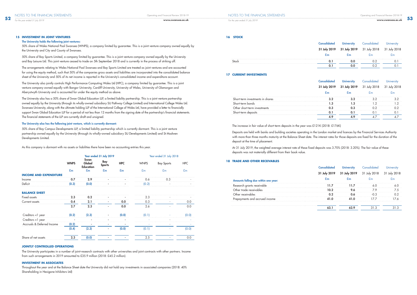### **15 INVESTMENT IN JOINT VENTURES**

### The University holds the following joint ventures:

50% share of Wales National Pool Swansea (WNPS), a company limited by guarantee. This is a joint venture company owned equally by the University and City and County of Swansea.

50% share of Bay Sports Limited, a company limited by guarantee. This is a joint venture company owned equally by the University and Bay Leisure Ltd. This joint venture ceased to trade on 5th September 2018 and is currently in the process of striking off.

The arrangements relating to Wales National Pool Swansea and Bay Sports Limited are treated as joint ventures and are accounted for using the equity method, such that 50% of the companies gross assets and liabilities are incorporated into the consolidated balance sheet of the University and 50% of its net income is reported in the University's consolidated income and expenditure account.

The University also jointly controls High Performance Computing Wales Ltd (HPC), a company limited by guarantee. This is a joint venture company owned equally with Bangor University, Cardiff University, University of Wales, University of Glamorgan and Aberystwyth University and is accounted for under the equity method as above.

The University also has a 50% share of Swan Global Education LLP, a limited liability partnership. This is a joint venture partnership owned equally by the University (through its wholly-owned subsidiary SU Pathway College Limited) and International College Wales Ltd. Swansea University, along with the ultimate holding LLP of the International College of Wales Ltd, have provided a letter to financially support Swan Global Education LLP for a period of not less than 12 months from the signing date of the partnership's financial statements. The financial statements of the LLP are currently draft and unsigned.

### The University also has the following joint venture, which is currently dormant:

50% share of Bay Campus Developments LLP, a limited liability partnership which is currently dormant. This is a joint venture partnership owned equally by the University (through its wholly-owned subsidiary SU Developments Limited) and St Modwen Developments Limited.

As this company is dormant with no assets or liabilities there have been no accounting entries this year.

|                               |             |                                    | Year ended 31 July 2019 |                |                | Year ended 31 July 2018 |            |
|-------------------------------|-------------|------------------------------------|-------------------------|----------------|----------------|-------------------------|------------|
|                               | <b>WNPS</b> | Swan<br>Global<br><b>Education</b> | Bay<br><b>Sports</b>    | <b>HPC</b>     | <b>WNPS</b>    | <b>Bay Sports</b>       | <b>HPC</b> |
|                               | £m          | £m                                 | £m                      | E <sub>m</sub> | E <sub>m</sub> | E <sub>m</sub>          | £m         |
| <b>INCOME AND EXPENDITURE</b> |             |                                    |                         |                |                |                         |            |
| Income                        | 0.7         | 2.9                                |                         |                | 0.6            | 0.3                     |            |
| Deficit                       | (0.3)       | (0.0)                              |                         |                | (0.2)          |                         |            |
|                               |             |                                    |                         |                |                |                         |            |
| <b>BALANCE SHEET</b>          |             |                                    |                         |                |                |                         |            |
| Fixed assets                  | 2.3         | 0.2                                |                         |                | 2.3            |                         |            |
| Current assets                | 0.4         | 2.1                                | ٠                       | 0.0            | 0.3            |                         | 0.0        |
|                               | 2.7         | 2.3                                |                         | 0.0            | 2.6            |                         | 0.0        |
| Creditors <1 year             | (0.2)       | (2.3)                              |                         | (0.0)          | (0.1)          |                         | (0.0)      |
| Creditors >1 year             |             |                                    |                         |                |                |                         |            |
| Accruals & Deferred Income    | (0.2)       |                                    |                         |                |                |                         |            |
|                               | (0.4)       | (2.3)                              |                         | (0.0)          | (0.1)          |                         | (0.0)      |
| Share of net assets           | 2.3         | (0.0)                              |                         |                | 2.5            |                         | 0.0        |

### **JOINTLY CONTROLLED OPERATIONS**

The University participates in a number of joint-research contracts with other universities and joint contracts with other partners. Income from such arrangements in 2019 amounted to £35.9 million (2018: £45.2 million).

### **INVESTMENT IN ASSOCIATES**

Throughout the year and at the Balance Sheet date the University did not hold any investments in associated companies (2018: 40% Shareholding in Hexigone Inhibitors Ltd)

### **16 STOCK**

|      | University                             | ated |              |
|------|----------------------------------------|------|--------------|
|      | 31 July 2019 31 July 2019 31 July 2018 |      | 31 July 2018 |
|      |                                        |      |              |
| Stoc |                                        |      |              |
|      |                                        |      |              |

### **17 CURRENT INVESTMENTS**

| is in shares |  |  |
|--------------|--|--|
|              |  |  |
|              |  |  |
|              |  |  |
|              |  |  |

The increase in fair value of short-term deposits in the year was £121K (2018: £176K)

Deposits are held with banks and building societies operating in the London market and licences by the Financial Services Authority with more than three months maturity at the Balance Sheet date. The interest rates for those deposits are fixed for the duration of the deposit at the time of placement.

At 31 July 2019, the weighted average interest rate of these fixed deposits was 3.70% (2018: 3.20%). The fair value of these

deposits was not materially different from their book value.

### **18 TRADE AND OTHER RECEIVABLES**

|                                      | $\cdot$ 19 | 18 |  |
|--------------------------------------|------------|----|--|
| Amounts falling due within one year: |            |    |  |
| <b>Kesearch grants receivable</b>    |            |    |  |
| de receivi                           |            |    |  |
|                                      |            |    |  |
| Prepayments and accrued income       |            |    |  |
|                                      |            |    |  |
|                                      |            |    |  |

NOTES TO THE FINANCIAL STATEMENTS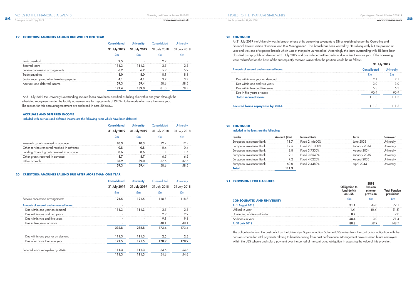### **19 CREDITORS: AMOUNTS FALLING DUE WITHIN ONE YEAR**

| ured loans                                 |  |  |  |
|--------------------------------------------|--|--|--|
| <b>ICE CONCESSION Arrangements</b>         |  |  |  |
|                                            |  |  |  |
| Social security and other taxation payable |  |  |  |
|                                            |  |  |  |
|                                            |  |  |  |

 At 31 July 2019 the University's outstanding secured loans have been classified as falling due within one year although the scheduled repayments under the facility agreement are for repayments of £109m to be made after more than one year. The reason for this accounting treatment are explained in note 20 below.

### **ACCRUALS AND DEFERRED INCOME**

Included with accruals and deferred income are the following items which have been deferred:

|                                           | 18<br>2019 |  |  |
|-------------------------------------------|------------|--|--|
|                                           |            |  |  |
| Research grants received in advance       |            |  |  |
| her services rendered received in advance |            |  |  |
| ouncil grants received in advance         |            |  |  |
| Other grants received in advance          |            |  |  |
|                                           |            |  |  |
|                                           |            |  |  |

### **20 CREDITORS: AMOUNTS FALLING DUE AFTER MORE THAN ONE YEAR**

|                                          | <b>Consolidated</b> | <b>University</b>            | Consolidated | University     |
|------------------------------------------|---------------------|------------------------------|--------------|----------------|
|                                          | 31 July 2019        | 31 July 2018<br>31 July 2019 |              | 31 July 2018   |
|                                          | E <sub>m</sub>      | £m                           | £m           | E <sub>m</sub> |
| Service concession arrangements          | 121.5               | 121.5                        | 118.8        | 118.8          |
| Analysis of secured and unsecured loans: |                     |                              |              |                |
| Due within one year on demand            | H.3                 | 111.3                        | 2.5          | 2.5            |
| Due within one and two years             |                     |                              | 2.9          | 2.9            |
| Due within two and five years            |                     |                              | 9.1          | 9.1            |
| Due in five years or more                |                     |                              | 40.1         | 40.1           |
|                                          | 232.8               | 232.8                        | 173.4        | 173.4          |
| Due within one year or on demand         | 111.3               | 111.3                        | 2.5          | 2.5            |
| Due after more than one year             | 121.5               | 121.5                        | 170.9        | 170.9          |
| Secured loans repayable by 2044          | 111.3               | 111.3                        | 54.6         | 54.6           |
|                                          | 111.3               | 111.3                        | 54.6         | 54.6           |

### **20 CONTINUED**

### Included in the loans are the following:

| Investment Bank |                  | June 2033 |  |
|-----------------|------------------|-----------|--|
|                 | Fixed 2.31300%   |           |  |
| Investment Kank | $r_{IX}$ ed 3.7. |           |  |
| ıvestment Bank  | Fixed 3.8540%    |           |  |
|                 |                  |           |  |
|                 |                  |           |  |
|                 |                  |           |  |

### **21 PROVISIONS FOR LIABILITIES**

| INIUNI FUR LIADILII                | Pension |  |
|------------------------------------|---------|--|
| <b>CONSOLIDATED AND UNIVERSITY</b> |         |  |
|                                    |         |  |
| vear                               |         |  |
|                                    |         |  |
| in year                            |         |  |
|                                    |         |  |

The obligation to fund the past deficit on the University's Superannuation Scheme (USS) arises from the contractual obligation with the pension scheme for total payments relating to benefits arising from past performance. Management have assessed future employees within the USS scheme and salary payment over the period of the contracted obligation in assessing the value of this provision.

*For the year ended 31 July 2019*

*For the year ended 31 July 2019*

### **20 CONTINUED**

At 31 July 2019 the University was in breach of one of its borrowing covenants to EIB as explained under the Operating and Financial Review section "Financial and Risk Management". This breach has been waived by EIB subsequently but the position at year end was one of expected breach which was at that point un-remedied. Accordingly the loans outstanding with EIB have been classified as repayable on demand at 31 July 2019 and are included within creditors due in less than one year. If the borrowing were reclassified on the basis of the subsequently received waiver then the position would be as follows: 31 July 2019

| sis of secured and unsecured loans: |  |  |
|-------------------------------------|--|--|
|                                     |  |  |
| Due within one year on demand       |  |  |
| Due within one and two years        |  |  |
| hin two and tive years              |  |  |
| Jue in five years or more           |  |  |
| <b>Total secured loans</b>          |  |  |
|                                     |  |  |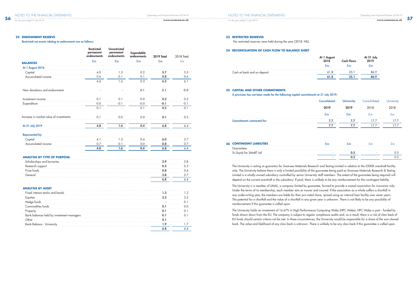### **22 ENDOWMENT RESERVE**

### Restricted net assets relating to endowments are as follows:

|                                         | <b>Restricted</b><br>permanent<br>endowments | <b>Unrestricted</b><br>permanent<br>endowments | Expendable<br>endowments | <b>2019 Total</b> | 2018 Total     |
|-----------------------------------------|----------------------------------------------|------------------------------------------------|--------------------------|-------------------|----------------|
| <b>BALANCES</b>                         | £m                                           | $\mathbf{f}_{\mathbf{m}}$                      | E <sub>m</sub>           | £m                | E <sub>m</sub> |
| At 1 August 2018                        |                                              |                                                |                          |                   |                |
| Capital                                 | 4.0                                          | 1.5                                            | 0.2                      | 5.7               | 5.5            |
| Accumulated income                      | 0.6                                          | 0.1                                            | 0.1                      | 0.8               | 0.6            |
|                                         | 4.6                                          | 1.6                                            | 0.3                      | 6.5               | 6.1            |
| New donations and endowments            |                                              |                                                | 0.1                      | 0.1               | 0.0            |
| Investment income                       | 0.1                                          | 0.1                                            | 0.0                      | 0.2               | 0.2            |
| Expenditure                             | $-0.0$                                       | $-0.1$                                         | $-0.0$                   | $-0.1$            | $-0.1$         |
|                                         | 0.1                                          | $\blacksquare$                                 | 0.1                      | 0.2               | 0.1            |
| Increase in market value of investments | 0.1                                          | 0.0                                            | 0.0                      | 0.1               | 0.2            |
| At 31 July 2019                         | 4.8                                          | 1.6                                            | 0.4                      | 6.8               | 6.4            |
| <b>Represented by:</b>                  |                                              |                                                |                          |                   |                |
| Capital                                 | 4.1                                          | 1.5                                            | 0.4                      | 6.0               | 5.7            |
| Accumulated income                      | 0.7                                          | 0.1                                            | 0.0                      | 0.8               | 0.7            |

4.8 1.6 0.4 6.8 6.4

### **ANALYSIS BY TYPE OF PURPOSE:**

| arships and bursaries |  |
|-----------------------|--|
|                       |  |
|                       |  |
|                       |  |
|                       |  |

### **ANALYSIS BY ASSET**

| eid by Investment i |  |
|---------------------|--|
|                     |  |
|                     |  |
|                     |  |

### **23 RESTRICTED RESERVES**

No restricted reserves were held during the year (2018: NIL).

### **24 RECONCILIATION OF CASH FLOW TO BALANCE SHEET**

| At 1 August<br>2018 | <b>Cash Flows</b> | At 31 July<br>2019 |
|---------------------|-------------------|--------------------|
| £m                  | £m                | $E_{m}$            |
| 61.8                | 25.1              | 86 9               |
| 61.8                | 25.1              | 86.9               |

| t bank and on deposit<br>insh .<br>-ar |  | זר |
|----------------------------------------|--|----|
|                                        |  |    |

### **25 CAPITAL AND OTHER COMMITMENTS**

A provision has not been made for the following capital commitments at 31 July 2019:

### Commitments contracted for:

| <b>26 CONTINGENT LIABILITIES</b> |  |
|----------------------------------|--|
|                                  |  |
|                                  |  |

| <b>Consolidated</b> | <b>University</b> | Consolidated   | <b>University</b> |
|---------------------|-------------------|----------------|-------------------|
| 2019                | 2019              | 2018           | 2018              |
| £m                  | £m                | E <sub>m</sub> | £m                |
| 7.7                 | 7.7               | 17.7           | 17.7              |
| 7.7                 | 7.7               | 17.7           | 17.7              |
|                     |                   |                |                   |

| 26 | <b>CONTINGENT LIABILITIES</b> |  |  |
|----|-------------------------------|--|--|
|    |                               |  |  |
|    |                               |  |  |
|    |                               |  |  |

The University is acting as guarantor for Swansea Materials Research and Testing Limited in relation to the £500K overdraft facility only. The University believe there is only a limited possibility of the guarantee being paid as Swansea Materials Research & Testing Limited is a wholly-owned subsidiary controlled by senior University staff members. The extent of the guarantee being required will depend on the current overdraft in the subsidiary. If paid, there is unlikely to be any reimbursement for this contingent liability.

The University is a member of UMAL, a company limited by guarantee, formed to provide a mutual association for insurance risks. Under the terms of its membership, each member acts as insurer and insured. If the association as a whole suffers a shortfall in any underwriting year, the members are liable for their pro-rated share, spread using an internal loan facility over seven years. The potential for a shortfall and the value of a shortfall in any given year is unknown. There is not likely to be any possibility of reimbursement if this guarantee is called upon.

The University holds an investment of 16.67% in High Performance Computing Wales (HPC Wales). HPC Wales is part - funded by funds drawn down from the EU. The company is subject to regular compliance audits and, as a result, there is a risk of claw back of EU funds should certain criteria not be met. In these circumstances, the University would be responsible for a share of the sum clawed back. The value and likelihood of any claw back is unknown. There is unlikely to be any claw back if this guarantee is called upon.

*For the year ended 31 July 2019*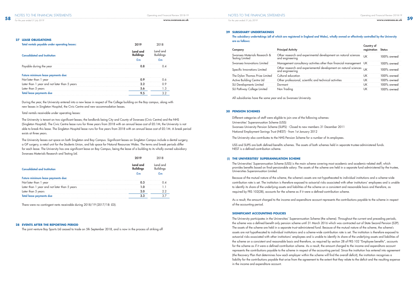### **28 EVENTS AFTER THE REPORTING PERIOD**

The joint venture Bay Sports Ltd ceased to trade on 5th September 2018, and is now in the process of striking off

### **29 SUBSIDIARY UNDERTAKINGS**

### The subsidiary undertakings (all of which are registered in England and Wales), wholly owned or effectively controlled by the University

are as follows:

| Company                                         | <b>Principal Activity</b>                                                              |    |               |
|-------------------------------------------------|----------------------------------------------------------------------------------------|----|---------------|
| Swansea Materials Research &<br>Testing Limited | Other research and experimental development on natural sciences<br>and engineering     | UΚ | $100\%$ owned |
| Swansea Innovations Limited                     | Management consultancy activities other than financial management UK                   |    | 100% owned    |
| Specific Innovations Limited                    | Other research and experiemental development on natural sciences UK<br>and engineering |    | 100% owned    |
| The Dylan Thomas Prize Limited                  | Cultural education                                                                     |    | 100% owned    |
| Active Building Centre Ltd                      | Other professional, scientific and technical activities                                |    | 100% owned    |
| SU Developments Limited                         | Dormant                                                                                |    | $100\%$ owned |
| SU Pathway College Limited                      | Non Trading                                                                            | JK | $100\%$ owned |

All subsidiaries have the same year end as Swansea University.

### **30 PENSION SCHEMES**

Different categories of staff were eligible to join one of the following schemes: Universities' Superannuation Scheme (USS)

Swansea University Pension Scheme (SUPS) - Closed to new members 31 December 2011 National Employment Savings Trust (NEST) - from 1st January 2012

The University also contributes to the NHS Pension Scheme for a number of its employees.

USS and SUPS are both defined-benefits schemes. The assets of both schemes held in separate trustee-administered funds. NEST is a defined-contribution scheme.

### **(i) THE UNIVERSITIES' SUPERANNUATION SCHEME**

The Universities' Superannuation Scheme (USS) is the main scheme covering most academic and academic-related staff, which provides benefits based on final-pensionable salary. The assets of the scheme are held in a separate fund administered by the trustee, Universities Superannuation Limited.

Because of the mutual nature of the scheme, the scheme's assets are not hypothecated to individual institutions and a scheme-wide contribution rate is set. The institution is therefore exposed to actuarial risks associated with other institutions' employees and is unable to identify its share of the underlying assets and liabilities of the scheme on a consistent and reasonable basis and therefore, as required by FRS 102(28), accounts for the scheme as if it were a defined-contribution scheme.

As a result, the amount charged to the income and expenditure account represents the contributions payable to the scheme in respect of the accounting period.

### **SIGNIFICANT ACCOUNTING POLICIES**

The University participates in the Universities' Superannuation Scheme (the scheme). Throughout the current and preceding periods, the scheme was a defined-benefit only pension scheme until 31 March 2016 which was contracted out of State Second Pension (S2P). The assets of the scheme are held in a separate trust-administered fund. Because of the mutual nature of the scheme, the scheme's assets are not hypothecated to individual institutions and a scheme-wide contribution rate is set. The institution is therefore exposed to actuarial risks associated with other institutions' employees and is unable to identify its share of the underlying assets and liabilities of the scheme on a consistent and reasonable basis and therefore, as required by section 28 of FRS 102 "Employee benefits", accounts for the scheme as if it were a defined-contribution scheme. As a result, the amount charged to the income and expenditure account represents the contributions payable to the scheme in respect of the accounting period. Since the institution has entered into agreement (the Recovery Plan that determines how each employer within the scheme will find the overall deficit), the institution recognises a liability for the contributions payable that arise from the agreement to the extent that they relate to the deficit and the resulting expense in the income and expenditure account.

*For the year ended 31 July 2019*

| Total rentals payable under operating leases: |                              |                              |
|-----------------------------------------------|------------------------------|------------------------------|
| <b>Consolidated and Institution</b>           | Land and<br><b>Buildings</b> | Land and<br><b>Buildings</b> |
|                                               | £m                           |                              |
| Payable during the year                       |                              |                              |
| Future minimum lease payments due:            |                              |                              |
| Not later than 1 year                         |                              |                              |
| Later than 1 year and not later than 5 years  |                              |                              |
| Later than 5 years                            | 5.6                          |                              |
| <b>Total lease payments due</b>               |                              |                              |

During the year, the University entered into a new lease in respect of The College building on the Bay campus, along with new leases in Singleton Hospital, the Civic Centre and new accommodation leases.

### Total rentals receivable under operating leases:

The University is tenant on two significant leases; the landlords being City and County of Swansea (Civic Centre) and the NHS (Singleton Hospital). The Civic Centre lease runs for three years from 2018 with an annual lease cost of £0.1M, the University is not able to break this lease. The Singleton Hospital lease runs for five years from 2018 with an annual lease cost of £0.1M. A break period exists at three years.

The University leases out space on both Singleton and Bay Campus. Significant leases on Singleton Campus include a dental surgery, a GP surgery, a retail unit for the Students Union, and lab space for Natural Resources Wales. The terms and break periods differ for each lease. The University has one significant lease on Bay Campus, being the lease of a building to its wholly owned subsidiary Swansea Materials Research and Testing Ltd.

2019 2018

| <b>Consolidated and Institution</b>          | Land and |  |
|----------------------------------------------|----------|--|
| Future minimum lease payments due:           |          |  |
| later than I year                            |          |  |
| Later than 1 year and not later than 5 years |          |  |
| ater than 5 years.                           |          |  |
| Total lease payments due                     |          |  |

There were no contingent rents receivable during 2018/19 (2017/18: £0).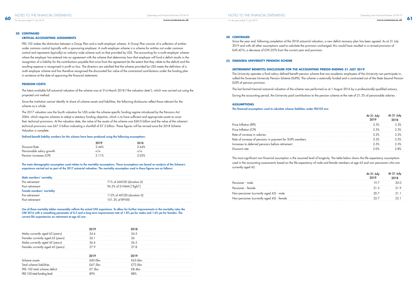### **PENSION COSTS**

The latest available full-actuarial valuation of the scheme was at 31st March 2018 ("the valuation date"), which was carried out using the projected unit method.

Since the institution cannot identify its share of scheme assets and liabilities, the following disclosures reflect those relevant for the scheme as a whole.

The 2017 valuation was the fourth valuation for USS under the scheme-specific funding regime introduced by the Pensions Act 2004, which requires schemes to adopt a statutory funding objective, which is to have sufficient and appropriate assets to cover their technical provisions. At the valuation date, the value of the assets of the scheme was £60.0 billion and the value of the scheme's technical provisions was £67.5 billion indicating a shortfall of £7.5 billion. These figures will be revised once the 2018 Scheme Valuation is complete.

### Defined-benefit liability numbers for the scheme have been produced using the following assumptions:

| <b>Discount Rate</b>      |  |
|---------------------------|--|
| Pensionable salary growth |  |
| Pension increases (CPI)   |  |

The main demographic assumption used relates to the mortality assumptions. These assumptions are based on analysis of the Scheme's experience carried out as part of the 2017 actuarial valuation. The mortality assumption used in these figures are as follows:

| Male members' mortality   |                            |  |
|---------------------------|----------------------------|--|
| Pre-retirement            | 71% of AMC00 (duration 0)  |  |
| Post retirement           | 96.5% of S1NMA ["light"]   |  |
| Female members' mortality |                            |  |
| Pre-retirement            | 112% of AFC00 (duration 0) |  |
| Post retirement           | 101.3% of REV00            |  |

Use of these mortality tables reasonably reflects the actual USS experience. To allow for further improvements in the mortality rates the CMI 2016 with a smoothing parameter of 8.5 and a long term improvement rate of 1.8% pa for males and 1.6% pa for females. The current life expectancies on retirement at age 65 are:

| currentiv agea            |         |      |  |
|---------------------------|---------|------|--|
| Females currently aged op |         |      |  |
| iles currentiv            |         | 76.5 |  |
| ⊦er                       |         |      |  |
|                           |         |      |  |
|                           |         |      |  |
| ne assets                 |         |      |  |
| scheme liabilities        | £67.5hn |      |  |
| FR:                       |         |      |  |
| FΚ.                       |         |      |  |

### **30 CONTINUED**

Since the year end, following completion of the 2018 actuarial valuation, a new deficit recovery plan has been agreed. As at 31 July 2019 and with all other assumptions used to calculate the provision unchanged, this would have resulted in a revised provision of £49,421k, a decrease of £39,257k from the current year end provision.

### **(ii) SWANSEA UNIVERSITY PENSION SCHEME**

### **(RETIREMENT BENEFITS) DISCLOSURE FOR THE ACCOUNTING PERIOD ENDING 31 JULY 2019**

The University operates a final-salary defined-benefit pension scheme that non-academic employees of the University can participate in, called the Swansea University Pension Scheme (SUPS). The scheme is externally funded and is contracted out of the State Second Pension (S2P) of pension provision.

The last formal triennial actuarial valuation of the scheme was performed as at 1 August 2016 by a professionally-qualified actuary.

During the accounting period, the University paid contributions to the pension scheme at the rate of 21.3% of pensionable salaries.

### **ASSUMPTIONS**

The financial assumptions used to calculate scheme liabilities under FRS102 are:

| pensions before refi<br>ırement<br>rea |  |
|----------------------------------------|--|
|                                        |  |

The most significant non-financial assumption is the assumed level of longevity. The table below shows the life expectancy assumptions used in the accounting assessments based on the life expectancy of male and female members at age 65 and non pensioners who are currently aged 45.

| (currently aged 45) - male |  |
|----------------------------|--|
|                            |  |



*For the year ended 31 July 2019*

*For the year ended 31 July 2019*

### **30 CONTINUED**

### **CRITICAL ACCOUNTING JUDGEMENTS**

FRS 102 makes the distinction between a Group Plan and a multi-employer scheme. A Group Plan consists of a collection of entities under common control typically with a sponsoring employer. A multi-employer scheme is a scheme for entities not under common control and represents (typically) an industry-wide scheme such as that provided by USS. The accounting for a multi-employer scheme where the employer has entered into an agreement with the scheme that determines how that employer will fund a deficit results in the recognition of a liability for the contributions payable that arise from the agreement (to the extent that they relate to the deficit) and the resulting expense is recognised in profit or loss. The directors are satisfied that the scheme provided by USS meets the definition of a multi-employer scheme and has therefore recognised the discounted fair value of the contractual contributions under the funding plan in existence at the date of approving the financial statements.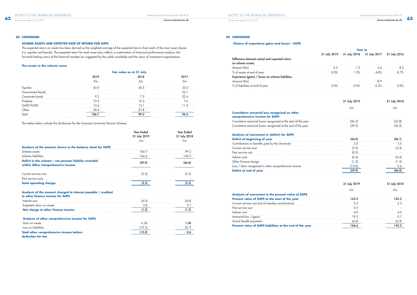### **30 CONTINUED**

### **SCHEME ASSETS AND EXPECTED RATE OF RETURN FOR SUPS**

The expected return on assets has been derived as the weighted average of the expected returns from each of the main asset classes (i.e. equities and bonds). The expected return for each asset class reflects a combination of historical performance analysis, the forward-looking views of the financial markets (as suggested by the yields available) and the views of investment organisations.

### **The assets in the scheme were:**

The tables below include the disclosures for the Swansea University Pension Scheme.

|                                                                                             | Year Ended<br>31 July 2019 | 31 July 2 |  |
|---------------------------------------------------------------------------------------------|----------------------------|-----------|--|
|                                                                                             |                            |           |  |
| Analysis of the amount shown in the balance sheet for SUPS                                  |                            |           |  |
| Scheme assets                                                                               | (16/                       | 99.2      |  |
| Scheme liabilities                                                                          | 166.6                      | 45.2      |  |
| Deficit in the scheme - net pension liability recorded<br>within Other Comprehensive Income |                            |           |  |
| Current service cost                                                                        |                            |           |  |
| Past service costs                                                                          |                            |           |  |
| <b>Total operating charge:</b>                                                              |                            |           |  |

### **Analysis of movement in (deficit) for SUPS Deficit at beginning of year**

| Contributions or benefits paid by the University     |
|------------------------------------------------------|
| Current service cost                                 |
| Past service cost                                    |
| Admin costs                                          |
| Other finance charge                                 |
| Loss / Gain recognised in other comprehensive income |
| Deficit at end of year                               |

### **Analysis of the amount charged to interest payable / credited**

### **Analysis of movement in the present value of SUPS Present value of SUPS at the start of the year** Current service cost (net of member contributions) Past service cost Actuarial loss / (gain)

| to other finance income for SUPS   |  |
|------------------------------------|--|
| Interest cost                      |  |
| Expected return on assets          |  |
| Net charge to other finance income |  |

| Analysis of other comprehensive income for SUPS |  |
|-------------------------------------------------|--|
|                                                 |  |
|                                                 |  |
| Total other comprehensive income before         |  |
|                                                 |  |

**deduction for tax**

### **30 CONTINUED**

### **History of experience gains and losses – SUPS**

### **Year to**

| Difference between actual and expected return<br>on scheme assets: |  |
|--------------------------------------------------------------------|--|
| Amount (£m)                                                        |  |
| % of assets at end of year                                         |  |
| Experience (gains) / losses on scheme liabilities:                 |  |
| Amount (£m)                                                        |  |
| % of liabilities at end of year                                    |  |

31 July 2019 31 July 2018 31 July 2017 31 July 2016

### 31 July 2019 31 July 2018

### £m £m

| (26.2) | (26.8) |
|--------|--------|
| (39.2) | (26.2) |

### **Cumulative actuarial loss recognised as other comprehensive income for SUPS**

Cumulative actuarial losses recognised at the start of the year Cumulative actuarial losses recognised at the end of the year

| Current service cost |  |
|----------------------|--|
|                      |  |
|                      |  |
|                      |  |
|                      |  |
|                      |  |

### 31 July 2019 31 July 2018

### £m £m

| Present value of SUPS at the start of the year           |  |
|----------------------------------------------------------|--|
| Current service cost (net of member contributior         |  |
| Past service o                                           |  |
|                                                          |  |
|                                                          |  |
|                                                          |  |
| Present value of SUPS liabilities at the end of the year |  |

*For the year ended 31 July 2019*